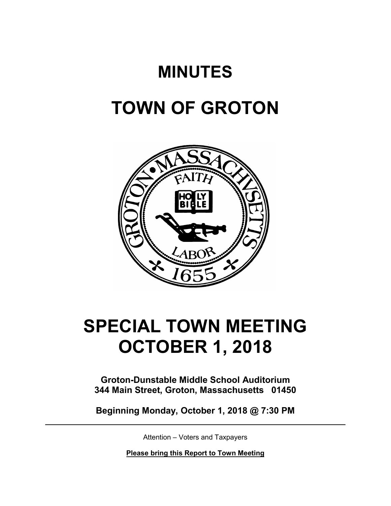## **MINUTES**

## **TOWN OF GROTON**



# **SPECIAL TOWN MEETING OCTOBER 1, 2018**

**Groton-Dunstable Middle School Auditorium 344 Main Street, Groton, Massachusetts 01450**

**Beginning Monday, October 1, 2018 @ 7:30 PM**

Attention – Voters and Taxpayers

**Please bring this Report to Town Meeting**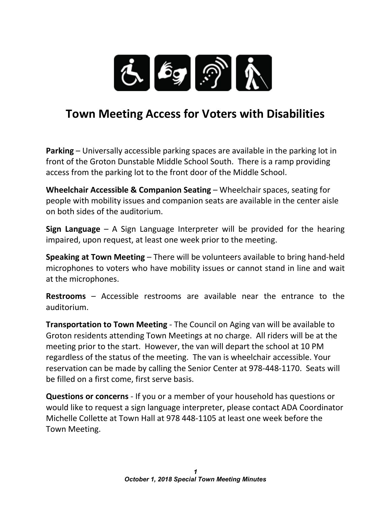

### **Town Meeting Access for Voters with Disabilities**

**Parking** – Universally accessible parking spaces are available in the parking lot in front of the Groton Dunstable Middle School South. There is a ramp providing access from the parking lot to the front door of the Middle School.

**Wheelchair Accessible & Companion Seating** – Wheelchair spaces, seating for people with mobility issues and companion seats are available in the center aisle on both sides of the auditorium.

**Sign Language** – A Sign Language Interpreter will be provided for the hearing impaired, upon request, at least one week prior to the meeting.

**Speaking at Town Meeting** – There will be volunteers available to bring hand-held microphones to voters who have mobility issues or cannot stand in line and wait at the microphones.

**Restrooms** – Accessible restrooms are available near the entrance to the auditorium.

**Transportation to Town Meeting** - The Council on Aging van will be available to Groton residents attending Town Meetings at no charge. All riders will be at the meeting prior to the start. However, the van will depart the school at 10 PM regardless of the status of the meeting. The van is wheelchair accessible. Your reservation can be made by calling the Senior Center at 978-448-1170. Seats will be filled on a first come, first serve basis.

**Questions or concerns** - If you or a member of your household has questions or would like to request a sign language interpreter, please contact ADA Coordinator Michelle Collette at Town Hall at 978 448-1105 at least one week before the Town Meeting.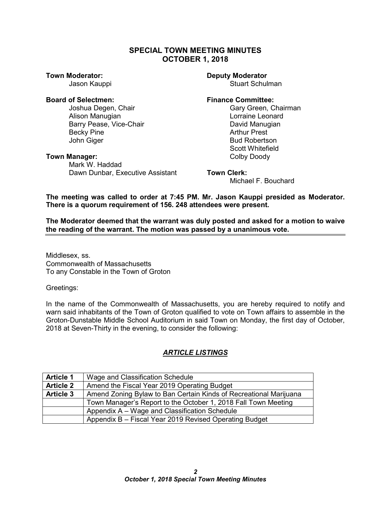#### **SPECIAL TOWN MEETING MINUTES OCTOBER 1, 2018**

#### **Board of Selectmen: Finance Committee:**

Joshua Degen, Chair Gary Green, Chairman Alison Manugian<br>Barry Pease. Vice-Chair New York (David Manugian Barry Pease, Vice-Chair Becky Pine **Arthur Prest** John Giger **Bud Robertson** 

#### **Town Manager:** Town Manager: The Color Doody Doody Doody Doody Doody Doody Doody Doody Doody Doody Doody Doody Doody Doody Doody Doody Doody Doody Doody Doody Doody Doody Doody Doody Doody Doody Doody Doody Doody Doody Do

Mark W. Haddad Dawn Dunbar, Executive Assistant **Town Clerk:**

#### **Town Moderator: Deputy Moderator**

Jason Kauppi Stuart Schulman

Scott Whitefield

Michael F. Bouchard

**The meeting was called to order at 7:45 PM. Mr. Jason Kauppi presided as Moderator. There is a quorum requirement of 156. 248 attendees were present.**

**The Moderator deemed that the warrant was duly posted and asked for a motion to waive the reading of the warrant. The motion was passed by a unanimous vote.**

Middlesex, ss. Commonwealth of Massachusetts To any Constable in the Town of Groton

Greetings:

In the name of the Commonwealth of Massachusetts, you are hereby required to notify and warn said inhabitants of the Town of Groton qualified to vote on Town affairs to assemble in the Groton-Dunstable Middle School Auditorium in said Town on Monday, the first day of October, 2018 at Seven-Thirty in the evening, to consider the following:

### *ARTICLE LISTINGS*

| <b>Article 1</b> | Wage and Classification Schedule                                  |
|------------------|-------------------------------------------------------------------|
| <b>Article 2</b> | Amend the Fiscal Year 2019 Operating Budget                       |
| <b>Article 3</b> | Amend Zoning Bylaw to Ban Certain Kinds of Recreational Marijuana |
|                  | Town Manager's Report to the October 1, 2018 Fall Town Meeting    |
|                  | Appendix A – Wage and Classification Schedule                     |
|                  | Appendix B - Fiscal Year 2019 Revised Operating Budget            |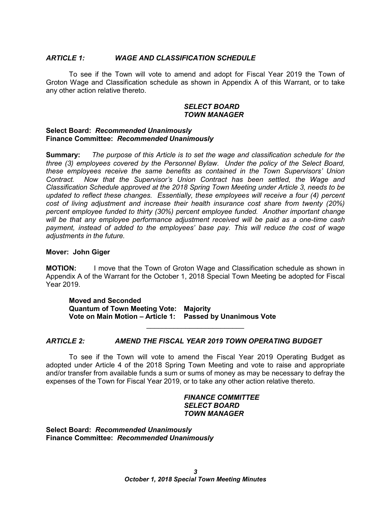#### *ARTICLE 1: WAGE AND CLASSIFICATION SCHEDULE*

To see if the Town will vote to amend and adopt for Fiscal Year 2019 the Town of Groton Wage and Classification schedule as shown in Appendix A of this Warrant, or to take any other action relative thereto.

#### *SELECT BOARD TOWN MANAGER*

#### **Select Board:** *Recommended Unanimously* **Finance Committee:** *Recommended Unanimously*

**Summary:** *The purpose of this Article is to set the wage and classification schedule for the three (3) employees covered by the Personnel Bylaw. Under the policy of the Select Board, these employees receive the same benefits as contained in the Town Supervisors' Union Contract. Now that the Supervisor's Union Contract has been settled, the Wage and Classification Schedule approved at the 2018 Spring Town Meeting under Article 3, needs to be updated to reflect these changes. Essentially, these employees will receive a four (4) percent cost of living adjustment and increase their health insurance cost share from twenty (20%) percent employee funded to thirty (30%) percent employee funded. Another important change will be that any employee performance adjustment received will be paid as a one-time cash payment, instead of added to the employees' base pay. This will reduce the cost of wage adjustments in the future.* 

#### **Mover: John Giger**

**MOTION:** I move that the Town of Groton Wage and Classification schedule as shown in Appendix A of the Warrant for the October 1, 2018 Special Town Meeting be adopted for Fiscal Year 2019.

**Moved and Seconded Quantum of Town Meeting Vote: Majority Vote on Main Motion – Article 1: Passed by Unanimous Vote**

#### *ARTICLE 2: AMEND THE FISCAL YEAR 2019 TOWN OPERATING BUDGET*

To see if the Town will vote to amend the Fiscal Year 2019 Operating Budget as adopted under Article 4 of the 2018 Spring Town Meeting and vote to raise and appropriate and/or transfer from available funds a sum or sums of money as may be necessary to defray the expenses of the Town for Fiscal Year 2019, or to take any other action relative thereto.

\_\_\_\_\_\_\_\_\_\_\_\_\_\_\_\_\_\_\_\_\_\_\_\_\_

#### *FINANCE COMMITTEE SELECT BOARD TOWN MANAGER*

**Select Board:** *Recommended Unanimously* **Finance Committee:** *Recommended Unanimously*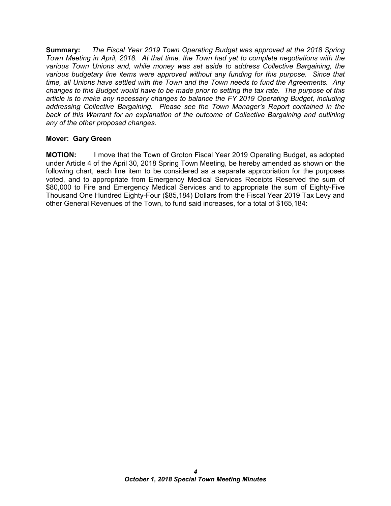**Summary:** *The Fiscal Year 2019 Town Operating Budget was approved at the 2018 Spring Town Meeting in April, 2018. At that time, the Town had yet to complete negotiations with the various Town Unions and, while money was set aside to address Collective Bargaining, the various budgetary line items were approved without any funding for this purpose. Since that time, all Unions have settled with the Town and the Town needs to fund the Agreements. Any changes to this Budget would have to be made prior to setting the tax rate. The purpose of this article is to make any necessary changes to balance the FY 2019 Operating Budget, including addressing Collective Bargaining. Please see the Town Manager's Report contained in the back of this Warrant for an explanation of the outcome of Collective Bargaining and outlining any of the other proposed changes.*

#### **Mover: Gary Green**

**MOTION:** I move that the Town of Groton Fiscal Year 2019 Operating Budget, as adopted under Article 4 of the April 30, 2018 Spring Town Meeting, be hereby amended as shown on the following chart, each line item to be considered as a separate appropriation for the purposes voted, and to appropriate from Emergency Medical Services Receipts Reserved the sum of \$80,000 to Fire and Emergency Medical Services and to appropriate the sum of Eighty-Five Thousand One Hundred Eighty-Four (\$85,184) Dollars from the Fiscal Year 2019 Tax Levy and other General Revenues of the Town, to fund said increases, for a total of \$165,184: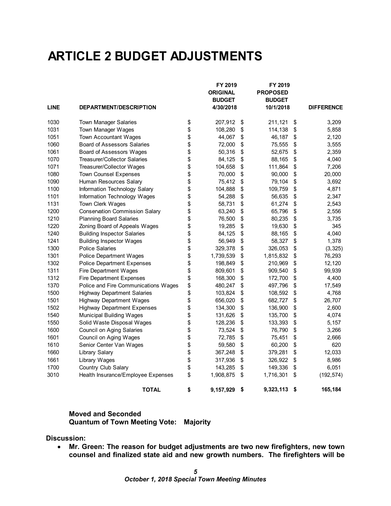### **ARTICLE 2 BUDGET ADJUSTMENTS**

|             |                                       | FY 2019<br><b>ORIGINAL</b><br><b>BUDGET</b> | FY 2019<br><b>PROPOSED</b><br><b>BUDGET</b> |                   |
|-------------|---------------------------------------|---------------------------------------------|---------------------------------------------|-------------------|
| <b>LINE</b> | DEPARTMENT/DESCRIPTION                | 4/30/2018                                   | 10/1/2018                                   | <b>DIFFERENCE</b> |
| 1030        | <b>Town Manager Salaries</b>          | \$<br>207,912                               | \$<br>211,121                               | \$<br>3,209       |
| 1031        | <b>Town Manager Wages</b>             | \$<br>108,280                               | \$<br>114,138                               | \$<br>5,858       |
| 1051        | <b>Town Accountant Wages</b>          | \$<br>44,067                                | \$<br>46,187                                | \$<br>2,120       |
| 1060        | <b>Board of Assessors Salaries</b>    | \$<br>72,000                                | \$<br>75,555                                | \$<br>3,555       |
| 1061        | Board of Assessors Wages              | \$<br>50,316                                | \$<br>52,675                                | \$<br>2,359       |
| 1070        | <b>Treasurer/Collector Salaries</b>   | \$<br>84,125                                | \$<br>88,165                                | \$<br>4,040       |
| 1071        | Treasurer/Collector Wages             | \$<br>104,658                               | \$<br>111,864                               | \$<br>7,206       |
| 1080        | <b>Town Counsel Expenses</b>          | \$<br>70,000                                | \$<br>90,000                                | \$<br>20,000      |
| 1090        | Human Resources Salary                | \$<br>75,412                                | \$<br>79,104                                | \$<br>3,692       |
| 1100        | Information Technology Salary         | \$<br>104,888                               | \$<br>109,759                               | \$<br>4,871       |
| 1101        | Information Technology Wages          | \$<br>54,288                                | \$<br>56,635                                | \$<br>2,347       |
| 1131        | Town Clerk Wages                      | \$<br>58,731                                | \$<br>61,274                                | \$<br>2,543       |
| 1200        | <b>Conservation Commission Salary</b> | \$<br>63,240                                | \$<br>65,796                                | \$<br>2,556       |
| 1210        | <b>Planning Board Salaries</b>        | \$<br>76,500                                | \$<br>80,235                                | \$<br>3,735       |
| 1220        | Zoning Board of Appeals Wages         | \$<br>19,285                                | \$<br>19,630                                | \$<br>345         |
| 1240        | <b>Building Inspector Salaries</b>    | \$<br>84,125                                | \$<br>88,165                                | \$<br>4,040       |
| 1241        | <b>Building Inspector Wages</b>       | \$<br>56,949                                | \$<br>58,327                                | \$<br>1,378       |
| 1300        | <b>Police Salaries</b>                | \$<br>329,378                               | \$<br>326,053                               | \$<br>(3, 325)    |
| 1301        | <b>Police Department Wages</b>        | \$<br>1,739,539                             | \$<br>1,815,832                             | \$<br>76,293      |
| 1302        | <b>Police Department Expenses</b>     | \$<br>198,849                               | \$<br>210,969                               | \$<br>12,120      |
| 1311        | Fire Department Wages                 | \$<br>809,601                               | \$<br>909,540                               | \$<br>99,939      |
| 1312        | <b>Fire Department Expenses</b>       | \$<br>168,300                               | \$<br>172,700                               | \$<br>4,400       |
| 1370        | Police and Fire Communications Wages  | \$<br>480,247                               | \$<br>497,796                               | \$<br>17,549      |
| 1500        | <b>Highway Department Salaries</b>    | \$<br>103,824                               | \$<br>108,592                               | \$<br>4,768       |
| 1501        | <b>Highway Department Wages</b>       | \$<br>656,020                               | \$<br>682,727                               | \$<br>26,707      |
| 1502        | <b>Highway Department Expenses</b>    | \$<br>134,300                               | \$<br>136,900                               | \$<br>2,600       |
| 1540        | <b>Municipal Building Wages</b>       | \$<br>131,626                               | \$<br>135,700                               | \$<br>4,074       |
| 1550        | Solid Waste Disposal Wages            | \$<br>128,236                               | \$<br>133,393                               | \$<br>5,157       |
| 1600        | <b>Council on Aging Salaries</b>      | \$<br>73,524                                | \$<br>76,790                                | \$<br>3,266       |
| 1601        | Council on Aging Wages                | \$<br>72,785                                | \$<br>75,451                                | \$<br>2,666       |
| 1610        | Senior Center Van Wages               | \$<br>59,580                                | \$<br>60,200                                | \$<br>620         |
| 1660        | Library Salary                        | \$<br>367,248                               | \$<br>379,281                               | \$<br>12,033      |
| 1661        | <b>Library Wages</b>                  | \$<br>317,936                               | \$<br>326,922                               | \$<br>8,986       |
| 1700        | Country Club Salary                   | \$<br>143,285                               | \$<br>149,336                               | \$<br>6,051       |
| 3010        | Health Insurance/Employee Expenses    | \$<br>1,908,875                             | \$<br>1,716,301                             | \$<br>(192, 574)  |
|             | <b>TOTAL</b>                          | \$<br>9,157,929                             | \$<br>9,323,113                             | \$<br>165,184     |

#### **Moved and Seconded Quantum of Town Meeting Vote: Majority**

**Discussion:**

• **Mr. Green: The reason for budget adjustments are two new firefighters, new town counsel and finalized state aid and new growth numbers. The firefighters will be**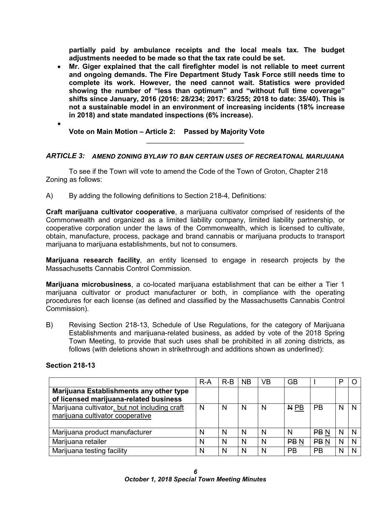**partially paid by ambulance receipts and the local meals tax. The budget adjustments needed to be made so that the tax rate could be set.** 

- **Mr. Giger explained that the call firefighter model is not reliable to meet current and ongoing demands. The Fire Department Study Task Force still needs time to complete its work. However, the need cannot wait. Statistics were provided showing the number of "less than optimum" and "without full time coverage" shifts since January, 2016 (2016: 28/234; 2017: 63/255; 2018 to date: 35/40). This is not a sustainable model in an environment of increasing incidents (18% increase in 2018) and state mandated inspections (6% increase).** 
	- **Vote on Main Motion – Article 2: Passed by Majority Vote**

#### *ARTICLE 3: AMEND ZONING BYLAW TO BAN CERTAIN USES OF RECREATONAL MARIJUANA*

\_\_\_\_\_\_\_\_\_\_\_\_\_\_\_\_\_\_\_\_\_\_\_\_\_

To see if the Town will vote to amend the Code of the Town of Groton, Chapter 218 Zoning as follows:

A) By adding the following definitions to Section 218-4, Definitions:

**Craft marijuana cultivator cooperative**, a marijuana cultivator comprised of residents of the Commonwealth and organized as a limited liability company, limited liability partnership, or cooperative corporation under the laws of the Commonwealth, which is licensed to cultivate, obtain, manufacture, process, package and brand cannabis or marijuana products to transport marijuana to marijuana establishments, but not to consumers.

**Marijuana research facility**, an entity licensed to engage in research projects by the Massachusetts Cannabis Control Commission.

**Marijuana microbusiness**, a co-located marijuana establishment that can be either a Tier 1 marijuana cultivator or product manufacturer or both, in compliance with the operating procedures for each license (as defined and classified by the Massachusetts Cannabis Control Commission).

B) Revising Section 218-13, Schedule of Use Regulations, for the category of Marijuana Establishments and marijuana-related business, as added by vote of the 2018 Spring Town Meeting, to provide that such uses shall be prohibited in all zoning districts, as follows (with deletions shown in strikethrough and additions shown as underlined):

#### **Section 218-13**

•

|                                                                                   | $R-A$ | $R-B$ | <b>NB</b> | VB | <b>GB</b>       |                 | D |  |
|-----------------------------------------------------------------------------------|-------|-------|-----------|----|-----------------|-----------------|---|--|
| Marijuana Establishments any other type<br>of licensed marijuana-related business |       |       |           |    |                 |                 |   |  |
| Marijuana cultivator, but not including craft<br>marijuana cultivator cooperative | N     | N     | N         | N  | N <sub>PB</sub> | РB              | N |  |
| Marijuana product manufacturer                                                    | N     | N     | N         | N  | N               | PB <sub>N</sub> |   |  |
| Marijuana retailer                                                                | N     | N     | N         | N  | PB <sub>N</sub> | PB <sub>N</sub> | N |  |
| Marijuana testing facility                                                        | N     | N     | N         | N  | PB              | <b>PB</b>       |   |  |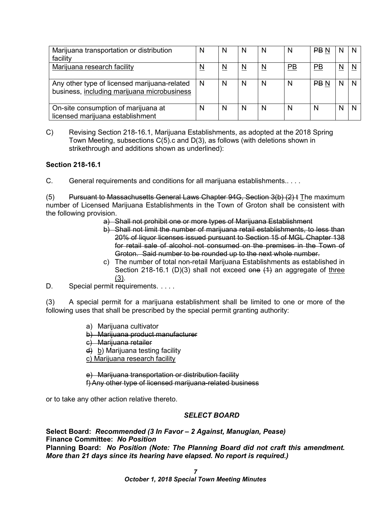| Marijuana transportation or distribution<br>facility                                        | N        | N        | N                        | N | N                | PB <sub>N</sub> | N                        |  |
|---------------------------------------------------------------------------------------------|----------|----------|--------------------------|---|------------------|-----------------|--------------------------|--|
| Marijuana research facility                                                                 | <u>N</u> | <u>N</u> | $\underline{\mathsf{N}}$ | N | $\underline{PB}$ | $\overline{PB}$ | $\underline{\mathsf{N}}$ |  |
| Any other type of licensed marijuana-related<br>business, including marijuana microbusiness | N        | N        | N                        | N | N                | <b>PBN</b>      | N                        |  |
| On-site consumption of marijuana at<br>licensed marijuana establishment                     | N        | N        | N                        | N | N                | N               | N                        |  |

C) Revising Section 218-16.1, Marijuana Establishments, as adopted at the 2018 Spring Town Meeting, subsections C(5).c and D(3), as follows (with deletions shown in strikethrough and additions shown as underlined):

#### **Section 218-16.1**

C. General requirements and conditions for all marijuana establishments.. . . .

(5) Pursuant to Massachusetts General Laws Chapter 94G, Section 3(b) (2) t The maximum number of Licensed Marijuana Establishments in the Town of Groton shall be consistent with the following provision.

- a) Shall not prohibit one or more types of Marijuana Establishment
- b) Shall not limit the number of marijuana retail establishments, to less than 20% of liquor licenses issued pursuant to Section 15 of MGL Chapter 138 for retail sale of alcohol not consumed on the premises in the Town of Groton. Said number to be rounded up to the next whole number.
- c) The number of total non-retail Marijuana Establishments as established in Section 218-16.1 (D)(3) shall not exceed one  $(1)$  an aggregate of three (3).
- D. Special permit requirements. . . . .

(3) A special permit for a marijuana establishment shall be limited to one or more of the following uses that shall be prescribed by the special permit granting authority:

- a) Marijuana cultivator
- b) Marijuana product manufacturer
- c) Marijuana retailer
- d) b) Marijuana testing facility
- c) Marijuana research facility

e) Marijuana transportation or distribution facility f) Any other type of licensed marijuana-related business

or to take any other action relative thereto.

#### *SELECT BOARD*

**Select Board:** *Recommended (3 In Favor – 2 Against, Manugian, Pease)* **Finance Committee:** *No Position* **Planning Board:** *No Position (Note: The Planning Board did not craft this amendment. More than 21 days since its hearing have elapsed. No report is required.)*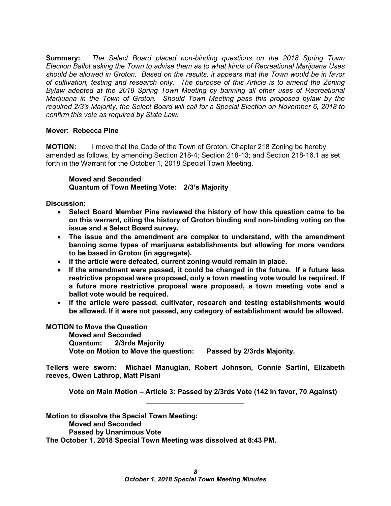**Summary:** *The Select Board placed non-binding questions on the 2018 Spring Town Election Ballot asking the Town to advise them as to what kinds of Recreational Marijuana Uses should be allowed in Groton. Based on the results, it appears that the Town would be in favor of cultivation, testing and research only. The purpose of this Article is to amend the Zoning Bylaw adopted at the 2018 Spring Town Meeting by banning all other uses of Recreational Marijuana in the Town of Groton. Should Town Meeting pass this proposed bylaw by the required 2/3's Majority, the Select Board will call for a Special Election on November 6, 2018 to confirm this vote as required by State Law.*

#### **Mover: Rebecca Pine**

**MOTION:** I move that the Code of the Town of Groton, Chapter 218 Zoning be hereby amended as follows, by amending Section 218-4; Section 218-13; and Section 218-16.1 as set forth in the Warrant for the October 1, 2018 Special Town Meeting.

#### **Moved and Seconded Quantum of Town Meeting Vote: 2/3's Majority**

**Discussion:**

- **Select Board Member Pine reviewed the history of how this question came to be on this warrant, citing the history of Groton binding and non-binding voting on the issue and a Select Board survey.**
- **The issue and the amendment are complex to understand, with the amendment banning some types of marijuana establishments but allowing for more vendors to be based in Groton (in aggregate).**
- **If the article were defeated, current zoning would remain in place.**
- **If the amendment were passed, it could be changed in the future. If a future less restrictive proposal were proposed, only a town meeting vote would be required. If a future more restrictive proposal were proposed, a town meeting vote and a ballot vote would be required.**
- **If the article were passed, cultivator, research and testing establishments would be allowed. If it were not passed, any category of establishment would be allowed.**

#### **MOTION to Move the Question**

**Moved and Seconded Quantum: 2/3rds Majority Vote on Motion to Move the question: Passed by 2/3rds Majority.**

**Tellers were sworn: Michael Manugian, Robert Johnson, Connie Sartini, Elizabeth reeves, Owen Lathrop, Matt Pisani**

 $\overline{\phantom{a}}$  , where  $\overline{\phantom{a}}$  , where  $\overline{\phantom{a}}$  , where  $\overline{\phantom{a}}$ 

**Vote on Main Motion – Article 3: Passed by 2/3rds Vote (142 In favor, 70 Against)**

**Motion to dissolve the Special Town Meeting: Moved and Seconded Passed by Unanimous Vote The October 1, 2018 Special Town Meeting was dissolved at 8:43 PM.**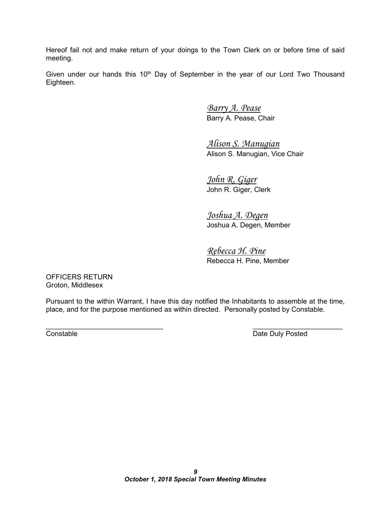Hereof fail not and make return of your doings to the Town Clerk on or before time of said meeting.

Given under our hands this  $10<sup>th</sup>$  Day of September in the year of our Lord Two Thousand Eighteen.

> *Barry A. Pease* Barry A. Pease, Chair

*Alison S. Manugian* Alison S. Manugian, Vice Chair

*John R. Giger* John R. Giger, Clerk

*Joshua A. Degen* Joshua A. Degen, Member

*Rebecca H. Pine* Rebecca H. Pine, Member

OFFICERS RETURN Groton, Middlesex

Pursuant to the within Warrant, I have this day notified the Inhabitants to assemble at the time, place, and for the purpose mentioned as within directed. Personally posted by Constable.

\_\_\_\_\_\_\_\_\_\_\_\_\_\_\_\_\_\_\_\_\_\_\_\_\_\_\_\_\_\_ \_\_\_\_\_\_\_\_\_\_\_\_\_\_\_\_\_\_\_\_\_\_\_ **Constable Date Duly Posted**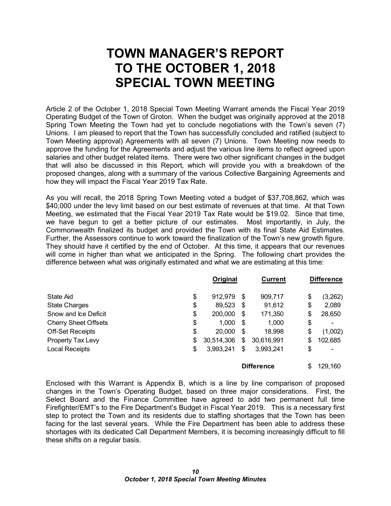### **TOWN MANAGER'S REPORT TO THE OCTOBER 1, 2018 SPECIAL TOWN MEETING**

Article 2 of the October 1, 2018 Special Town Meeting Warrant amends the Fiscal Year 2019 Operating Budget of the Town of Groton. When the budget was originally approved at the 2018 Spring Town Meeting the Town had yet to conclude negotiations with the Town's seven (7) Unions. I am pleased to report that the Town has successfully concluded and ratified (subject to Town Meeting approval) Agreements with all seven (7) Unions. Town Meeting now needs to approve the funding for the Agreements and adjust the various line items to reflect agreed upon salaries and other budget related items. There were two other significant changes in the budget that will also be discussed in this Report, which will provide you with a breakdown of the proposed changes, along with a summary of the various Collective Bargaining Agreements and how they will impact the Fiscal Year 2019 Tax Rate.

As you will recall, the 2018 Spring Town Meeting voted a budget of \$37,708,862, which was \$40,000 under the levy limit based on our best estimate of revenues at that time. At that Town Meeting, we estimated that the Fiscal Year 2019 Tax Rate would be \$19.02. Since that time, we have begun to get a better picture of our estimates. Most importantly, in July, the Commonwealth finalized its budget and provided the Town with its final State Aid Estimates. Further, the Assessors continue to work toward the finalization of the Town's new growth figure. They should have it certified by the end of October. At this time, it appears that our revenues will come in higher than what we anticipated in the Spring. The following chart provides the difference between what was originally estimated and what we are estimating at this time:

|                             | Original         |    | <b>Current</b>    | <b>Difference</b> |
|-----------------------------|------------------|----|-------------------|-------------------|
| State Aid                   | \$<br>912,979    | -S | 909,717           | \$<br>(3,262)     |
| <b>State Charges</b>        | \$<br>89,523     | S  | 91,612            | \$<br>2,089       |
| Snow and Ice Deficit        | \$<br>200,000    | \$ | 171,350           | \$<br>28,650      |
| <b>Cherry Sheet Offsets</b> | \$<br>1,000      | \$ | 1,000             | \$                |
| <b>Off-Set Receipts</b>     | \$<br>20,000     | S  | 18,998            | \$<br>(1,002)     |
| Property Tax Levy           | \$<br>30,514,306 | \$ | 30,616,991        | \$<br>102,685     |
| <b>Local Receipts</b>       | \$<br>3,993,241  | \$ | 3,993,241         | \$                |
|                             |                  |    | <b>Difference</b> | \$<br>129,160     |

Enclosed with this Warrant is Appendix B, which is a line by line comparison of proposed changes in the Town's Operating Budget, based on three major considerations. First, the Select Board and the Finance Committee have agreed to add two permanent full time Firefighter/EMT's to the Fire Department's Budget in Fiscal Year 2019. This is a necessary first step to protect the Town and its residents due to staffing shortages that the Town has been facing for the last several years. While the Fire Department has been able to address these shortages with its dedicated Call Department Members, it is becoming increasingly difficult to fill these shifts on a regular basis.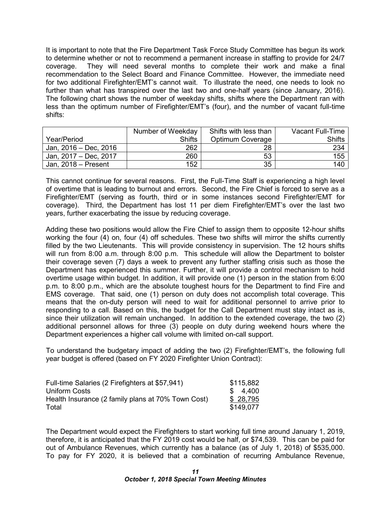It is important to note that the Fire Department Task Force Study Committee has begun its work to determine whether or not to recommend a permanent increase in staffing to provide for 24/7 coverage. They will need several months to complete their work and make a final recommendation to the Select Board and Finance Committee. However, the immediate need for two additional Firefighter/EMT's cannot wait. To illustrate the need, one needs to look no further than what has transpired over the last two and one-half years (since January, 2016). The following chart shows the number of weekday shifts, shifts where the Department ran with less than the optimum number of Firefighter/EMT's (four), and the number of vacant full-time shifts:

|                       | Number of Weekday | Shifts with less than | Vacant Full-Time |
|-----------------------|-------------------|-----------------------|------------------|
| Year/Period           | <b>Shifts</b>     | Optimum Coverage      | Shifts           |
| Jan, 2016 - Dec, 2016 | 262               | 28                    | 234              |
| Jan, 2017 - Dec, 2017 | 260               | 53                    | 155              |
| Jan, $2018 -$ Present | 152               | 35                    | 140              |

This cannot continue for several reasons. First, the Full-Time Staff is experiencing a high level of overtime that is leading to burnout and errors. Second, the Fire Chief is forced to serve as a Firefighter/EMT (serving as fourth, third or in some instances second Firefighter/EMT for coverage). Third, the Department has lost 11 per diem Firefighter/EMT's over the last two years, further exacerbating the issue by reducing coverage.

Adding these two positions would allow the Fire Chief to assign them to opposite 12-hour shifts working the four (4) on, four (4) off schedules. These two shifts will mirror the shifts currently filled by the two Lieutenants. This will provide consistency in supervision. The 12 hours shifts will run from 8:00 a.m. through 8:00 p.m. This schedule will allow the Department to bolster their coverage seven (7) days a week to prevent any further staffing crisis such as those the Department has experienced this summer. Further, it will provide a control mechanism to hold overtime usage within budget. In addition, it will provide one (1) person in the station from 6:00 p.m. to 8:00 p.m., which are the absolute toughest hours for the Department to find Fire and EMS coverage. That said, one (1) person on duty does not accomplish total coverage. This means that the on-duty person will need to wait for additional personnel to arrive prior to responding to a call. Based on this, the budget for the Call Department must stay intact as is, since their utilization will remain unchanged. In addition to the extended coverage, the two (2) additional personnel allows for three (3) people on duty during weekend hours where the Department experiences a higher call volume with limited on-call support.

To understand the budgetary impact of adding the two (2) Firefighter/EMT's, the following full year budget is offered (based on FY 2020 Firefighter Union Contract):

| Full-time Salaries (2 Firefighters at \$57,941)    | \$115,882 |
|----------------------------------------------------|-----------|
| Uniform Costs                                      | \$4.400   |
| Health Insurance (2 family plans at 70% Town Cost) | \$28,795  |
| Total                                              | \$149.077 |

The Department would expect the Firefighters to start working full time around January 1, 2019, therefore, it is anticipated that the FY 2019 cost would be half, or \$74,539. This can be paid for out of Ambulance Revenues, which currently has a balance (as of July 1, 2018) of \$535,000. To pay for FY 2020, it is believed that a combination of recurring Ambulance Revenue,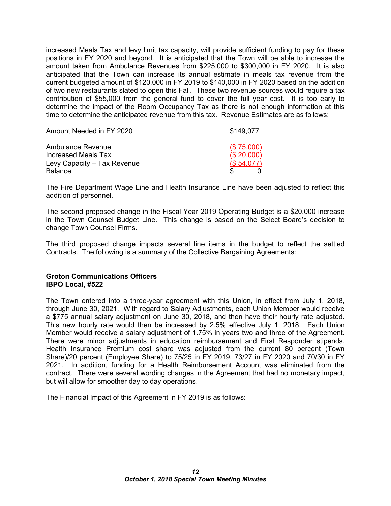increased Meals Tax and levy limit tax capacity, will provide sufficient funding to pay for these positions in FY 2020 and beyond. It is anticipated that the Town will be able to increase the amount taken from Ambulance Revenues from \$225,000 to \$300,000 in FY 2020. It is also anticipated that the Town can increase its annual estimate in meals tax revenue from the current budgeted amount of \$120,000 in FY 2019 to \$140,000 in FY 2020 based on the addition of two new restaurants slated to open this Fall. These two revenue sources would require a tax contribution of \$55,000 from the general fund to cover the full year cost. It is too early to determine the impact of the Room Occupancy Tax as there is not enough information at this time to determine the anticipated revenue from this tax. Revenue Estimates are as follows:

| Amount Needed in FY 2020                      | \$149.077                |
|-----------------------------------------------|--------------------------|
| Ambulance Revenue<br>Increased Meals Tax      | (\$75,000)<br>(\$20,000) |
| Levy Capacity - Tax Revenue<br><b>Balance</b> | (\$54,077)               |

The Fire Department Wage Line and Health Insurance Line have been adjusted to reflect this addition of personnel.

The second proposed change in the Fiscal Year 2019 Operating Budget is a \$20,000 increase in the Town Counsel Budget Line. This change is based on the Select Board's decision to change Town Counsel Firms.

The third proposed change impacts several line items in the budget to reflect the settled Contracts. The following is a summary of the Collective Bargaining Agreements:

#### **Groton Communications Officers IBPO Local, #522**

The Town entered into a three-year agreement with this Union, in effect from July 1, 2018, through June 30, 2021. With regard to Salary Adjustments, each Union Member would receive a \$775 annual salary adjustment on June 30, 2018, and then have their hourly rate adjusted. This new hourly rate would then be increased by 2.5% effective July 1, 2018. Each Union Member would receive a salary adjustment of 1.75% in years two and three of the Agreement. There were minor adjustments in education reimbursement and First Responder stipends. Health Insurance Premium cost share was adjusted from the current 80 percent (Town Share)/20 percent (Employee Share) to 75/25 in FY 2019, 73/27 in FY 2020 and 70/30 in FY 2021. In addition, funding for a Health Reimbursement Account was eliminated from the contract. There were several wording changes in the Agreement that had no monetary impact, but will allow for smoother day to day operations.

The Financial Impact of this Agreement in FY 2019 is as follows: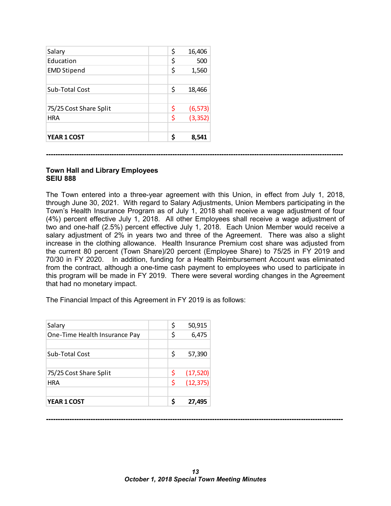| <b>YEAR 1 COST</b>     | \$<br>8,541    |
|------------------------|----------------|
| <b>HRA</b>             | \$<br>(3, 352) |
| 75/25 Cost Share Split | \$<br>(6, 573) |
| Sub-Total Cost         | \$<br>18,466   |
| <b>EMD Stipend</b>     | \$<br>1,560    |
| Education              | \$<br>500      |
| Salary                 | \$<br>16,406   |

**-------------------------------------------------------------------------------------------------------------------------------**

#### **Town Hall and Library Employees SEIU 888**

The Town entered into a three-year agreement with this Union, in effect from July 1, 2018, through June 30, 2021. With regard to Salary Adjustments, Union Members participating in the Town's Health Insurance Program as of July 1, 2018 shall receive a wage adjustment of four (4%) percent effective July 1, 2018. All other Employees shall receive a wage adjustment of two and one-half (2.5%) percent effective July 1, 2018. Each Union Member would receive a salary adjustment of 2% in years two and three of the Agreement. There was also a slight increase in the clothing allowance. Health Insurance Premium cost share was adjusted from the current 80 percent (Town Share)/20 percent (Employee Share) to 75/25 in FY 2019 and 70/30 in FY 2020. In addition, funding for a Health Reimbursement Account was eliminated from the contract, although a one-time cash payment to employees who used to participate in this program will be made in FY 2019. There were several wording changes in the Agreement that had no monetary impact.

The Financial Impact of this Agreement in FY 2019 is as follows:

| Salary                        | \$ | 50,915    |
|-------------------------------|----|-----------|
| One-Time Health Insurance Pay | \$ | 6,475     |
|                               |    |           |
| Sub-Total Cost                | \$ | 57,390    |
|                               |    |           |
| 75/25 Cost Share Split        | \$ | (17, 520) |
| <b>HRA</b>                    | \$ | (12, 375) |
|                               |    |           |
| YEAR 1 COST                   | S  | 27,495    |

**-------------------------------------------------------------------------------------------------------------------------------**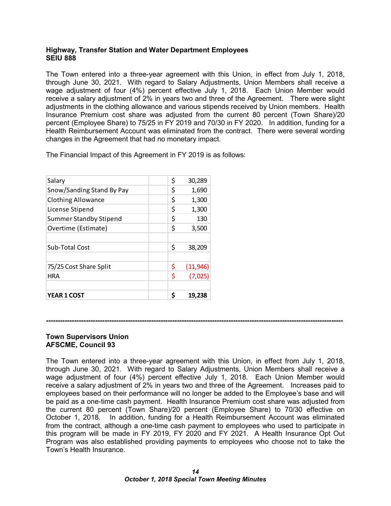#### **Highway, Transfer Station and Water Department Employees SEIU 888**

The Town entered into a three-year agreement with this Union, in effect from July 1, 2018, through June 30, 2021. With regard to Salary Adjustments, Union Members shall receive a wage adjustment of four (4%) percent effective July 1, 2018. Each Union Member would receive a salary adjustment of 2% in years two and three of the Agreement. There were slight adjustments in the clothing allowance and various stipends received by Union members. Health Insurance Premium cost share was adjusted from the current 80 percent (Town Share)/20 percent (Employee Share) to 75/25 in FY 2019 and 70/30 in FY 2020. In addition, funding for a Health Reimbursement Account was eliminated from the contract. There were several wording changes in the Agreement that had no monetary impact.

The Financial Impact of this Agreement in FY 2019 is as follows:

| Salary                        | \$<br>30,289    |
|-------------------------------|-----------------|
| Snow/Sanding Stand By Pay     | \$<br>1,690     |
| <b>Clothing Allowance</b>     | \$<br>1,300     |
| License Stipend               | \$<br>1,300     |
| <b>Summer Standby Stipend</b> | \$<br>130       |
| Overtime (Estimate)           | \$<br>3,500     |
|                               |                 |
| Sub-Total Cost                | \$<br>38,209    |
|                               |                 |
| 75/25 Cost Share Split        | \$<br>(11, 946) |
| <b>HRA</b>                    | \$<br>(7,025)   |
|                               |                 |
| <b>YEAR 1 COST</b>            | \$<br>19,238    |

#### **-------------------------------------------------------------------------------------------------------------------------------**

#### **Town Supervisors Union AFSCME, Council 93**

The Town entered into a three-year agreement with this Union, in effect from July 1, 2018, through June 30, 2021. With regard to Salary Adjustments, Union Members shall receive a wage adjustment of four (4%) percent effective July 1, 2018. Each Union Member would receive a salary adjustment of 2% in years two and three of the Agreement. Increases paid to employees based on their performance will no longer be added to the Employee's base and will be paid as a one-time cash payment. Health Insurance Premium cost share was adjusted from the current 80 percent (Town Share)/20 percent (Employee Share) to 70/30 effective on October 1, 2018. In addition, funding for a Health Reimbursement Account was eliminated from the contract, although a one-time cash payment to employees who used to participate in this program will be made in FY 2019, FY 2020 and FY 2021. A Health Insurance Opt Out Program was also established providing payments to employees who choose not to take the Town's Health Insurance.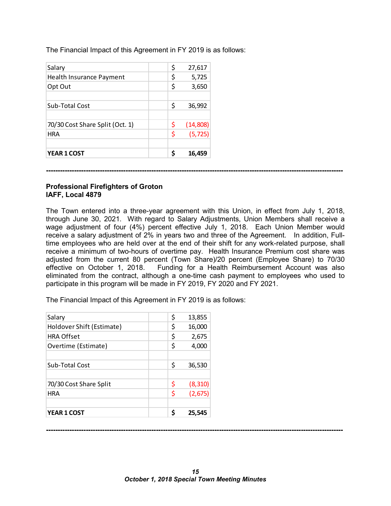The Financial Impact of this Agreement in FY 2019 is as follows:

| Salary                          | \$ | 27,617   |
|---------------------------------|----|----------|
| Health Insurance Payment        | \$ | 5,725    |
| Opt Out                         | \$ | 3,650    |
|                                 |    |          |
| Sub-Total Cost                  | \$ | 36,992   |
|                                 |    |          |
| 70/30 Cost Share Split (Oct. 1) | \$ | (14,808) |
| <b>HRA</b>                      | \$ | (5, 725) |
|                                 |    |          |
| YEAR 1 COST                     | Ś  | 16,459   |

**-------------------------------------------------------------------------------------------------------------------------------**

#### **Professional Firefighters of Groton IAFF, Local 4879**

The Town entered into a three-year agreement with this Union, in effect from July 1, 2018, through June 30, 2021. With regard to Salary Adjustments, Union Members shall receive a wage adjustment of four (4%) percent effective July 1, 2018. Each Union Member would receive a salary adjustment of 2% in years two and three of the Agreement. In addition, Fulltime employees who are held over at the end of their shift for any work-related purpose, shall receive a minimum of two-hours of overtime pay. Health Insurance Premium cost share was adjusted from the current 80 percent (Town Share)/20 percent (Employee Share) to 70/30 effective on October 1, 2018. Funding for a Health Reimbursement Account was also eliminated from the contract, although a one-time cash payment to employees who used to participate in this program will be made in FY 2019, FY 2020 and FY 2021.

The Financial Impact of this Agreement in FY 2019 is as follows:

| Salary                    | \$ | 13,855   |
|---------------------------|----|----------|
| Holdover Shift (Estimate) | \$ | 16,000   |
| <b>HRA Offset</b>         | \$ | 2,675    |
| Overtime (Estimate)       | \$ | 4,000    |
|                           |    |          |
| Sub-Total Cost            | \$ | 36,530   |
|                           |    |          |
| 70/30 Cost Share Split    | \$ | (8, 310) |
| <b>HRA</b>                | \$ | (2,675)  |
|                           |    |          |
| <b>YEAR 1 COST</b>        | Ś  | 25.545   |

**-------------------------------------------------------------------------------------------------------------------------------**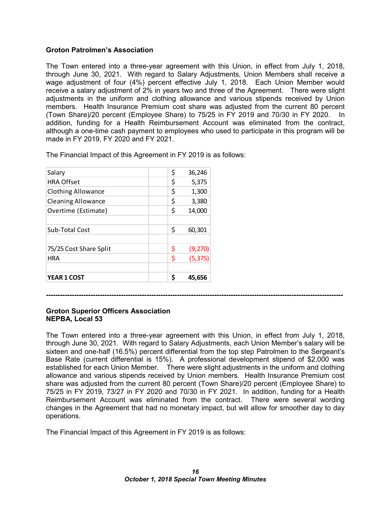#### **Groton Patrolmen's Association**

The Town entered into a three-year agreement with this Union, in effect from July 1, 2018, through June 30, 2021. With regard to Salary Adjustments, Union Members shall receive a wage adjustment of four (4%) percent effective July 1, 2018. Each Union Member would receive a salary adjustment of 2% in years two and three of the Agreement. There were slight adjustments in the uniform and clothing allowance and various stipends received by Union members. Health Insurance Premium cost share was adjusted from the current 80 percent (Town Share)/20 percent (Employee Share) to 75/25 in FY 2019 and 70/30 in FY 2020. In addition, funding for a Health Reimbursement Account was eliminated from the contract, although a one-time cash payment to employees who used to participate in this program will be made in FY 2019, FY 2020 and FY 2021.

| Salary                    | \$ | 36,246   |
|---------------------------|----|----------|
| <b>HRA Offset</b>         | \$ | 5,375    |
| <b>Clothing Allowance</b> | \$ | 1,300    |
| <b>Cleaning Allowance</b> | \$ | 3,380    |
| Overtime (Estimate)       | \$ | 14,000   |
|                           |    |          |
| Sub-Total Cost            | \$ | 60,301   |
|                           |    |          |
| 75/25 Cost Share Split    | \$ | (9,270)  |
| <b>HRA</b>                | \$ | (5, 375) |
|                           |    |          |
| YEAR 1 COST               | Ś  | 45.656   |

The Financial Impact of this Agreement in FY 2019 is as follows:

### **Groton Superior Officers Association**

### **NEPBA, Local 53**

The Town entered into a three-year agreement with this Union, in effect from July 1, 2018, through June 30, 2021. With regard to Salary Adjustments, each Union Member's salary will be sixteen and one-half (16.5%) percent differential from the top step Patrolmen to the Sergeant's Base Rate (current differential is 15%). A professional development stipend of \$2,000 was established for each Union Member. There were slight adjustments in the uniform and clothing allowance and various stipends received by Union members. Health Insurance Premium cost share was adjusted from the current 80 percent (Town Share)/20 percent (Employee Share) to 75/25 in FY 2019, 73/27 in FY 2020 and 70/30 in FY 2021. In addition, funding for a Health Reimbursement Account was eliminated from the contract. There were several wording changes in the Agreement that had no monetary impact, but will allow for smoother day to day operations.

**-------------------------------------------------------------------------------------------------------------------------------**

The Financial Impact of this Agreement in FY 2019 is as follows: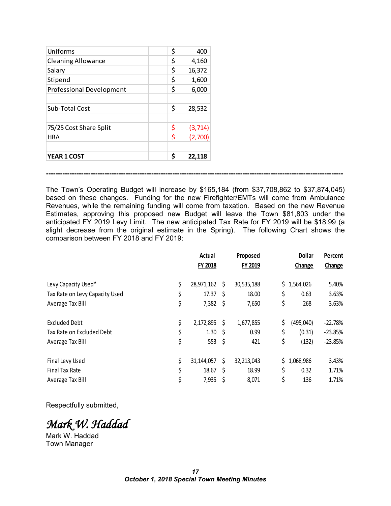| Uniforms                        | \$ | 400      |
|---------------------------------|----|----------|
| <b>Cleaning Allowance</b>       | \$ | 4,160    |
| Salary                          | \$ | 16,372   |
| Stipend                         | \$ | 1,600    |
| <b>Professional Development</b> | \$ | 6,000    |
|                                 |    |          |
| Sub-Total Cost                  | \$ | 28,532   |
|                                 |    |          |
| 75/25 Cost Share Split          | \$ | (3, 714) |
| <b>HRA</b>                      | \$ | (2,700)  |
|                                 |    |          |
| <b>YEAR 1 COST</b>              | Ś  | 22.118   |

The Town's Operating Budget will increase by \$165,184 (from \$37,708,862 to \$37,874,045) based on these changes. Funding for the new Firefighter/EMTs will come from Ambulance Revenues, while the remaining funding will come from taxation. Based on the new Revenue Estimates, approving this proposed new Budget will leave the Town \$81,803 under the anticipated FY 2019 Levy Limit. The new anticipated Tax Rate for FY 2019 will be \$18.99 (a slight decrease from the original estimate in the Spring). The following Chart shows the comparison between FY 2018 and FY 2019:

**-------------------------------------------------------------------------------------------------------------------------------**

|                                | Actual<br>FY 2018 |     | Proposed<br>FY 2019 | <b>Dollar</b><br>Change | Percent<br>Change |
|--------------------------------|-------------------|-----|---------------------|-------------------------|-------------------|
| Levy Capacity Used*            | \$<br>28,971,162  | S.  | 30,535,188          | \$1,564,026             | 5.40%             |
| Tax Rate on Levy Capacity Used | \$<br>17.37       | - S | 18.00               | \$<br>0.63              | 3.63%             |
| Average Tax Bill               | \$<br>7,382       | -\$ | 7,650               | \$<br>268               | 3.63%             |
| <b>Excluded Debt</b>           | \$<br>2,172,895   | -S  | 1,677,855           | \$<br>(495,040)         | $-22.78%$         |
| Tax Rate on Excluded Debt      | \$<br>1.30        | -\$ | 0.99                | \$<br>(0.31)            | $-23.85%$         |
| Average Tax Bill               | \$<br>553         | -\$ | 421                 | \$<br>(132)             | $-23.85%$         |
| Final Levy Used                | \$<br>31,144,057  | \$  | 32,213,043          | \$<br>1,068,986         | 3.43%             |
| Final Tax Rate                 | \$<br>18.67       | \$. | 18.99               | \$<br>0.32              | 1.71%             |
| Average Tax Bill               | \$<br>7,935       |     | 8,071               | \$<br>136               | 1.71%             |

Respectfully submitted,

*Mark W. Haddad* 

Mark W. Haddad Town Manager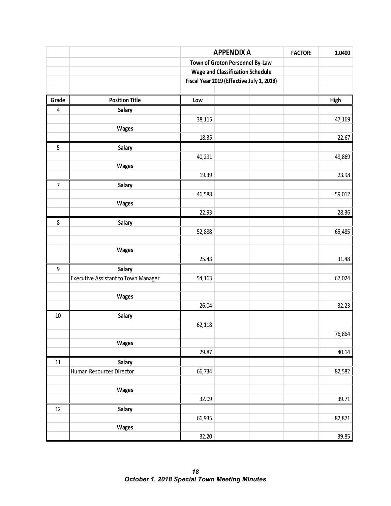|                  |                                            | <b>APPENDIX A</b> |                                           |  |        |  |  |
|------------------|--------------------------------------------|-------------------|-------------------------------------------|--|--------|--|--|
|                  |                                            |                   | Town of Groton Personnel By-Law           |  |        |  |  |
|                  |                                            |                   | <b>Wage and Classification Schedule</b>   |  |        |  |  |
|                  |                                            |                   | Fiscal Year 2019 (Effective July 1, 2018) |  |        |  |  |
|                  |                                            |                   |                                           |  |        |  |  |
| Grade            | <b>Position Title</b>                      | Low               |                                           |  | High   |  |  |
| 4                | Salary                                     |                   |                                           |  |        |  |  |
|                  |                                            | 38,115            |                                           |  | 47,169 |  |  |
|                  | <b>Wages</b>                               |                   |                                           |  |        |  |  |
|                  |                                            | 18.35             |                                           |  | 22.67  |  |  |
| 5                | Salary                                     |                   |                                           |  |        |  |  |
|                  |                                            | 40,291            |                                           |  | 49,869 |  |  |
|                  | <b>Wages</b>                               |                   |                                           |  |        |  |  |
|                  |                                            | 19.39             |                                           |  | 23.98  |  |  |
| $\overline{7}$   | Salary                                     |                   |                                           |  |        |  |  |
|                  |                                            | 46,588            |                                           |  | 59,012 |  |  |
|                  | <b>Wages</b>                               |                   |                                           |  |        |  |  |
|                  |                                            | 22.93             |                                           |  | 28.36  |  |  |
| 8                | Salary                                     |                   |                                           |  |        |  |  |
|                  |                                            | 52,888            |                                           |  | 65,485 |  |  |
|                  |                                            |                   |                                           |  |        |  |  |
|                  | Wages                                      |                   |                                           |  |        |  |  |
|                  |                                            | 25.43             |                                           |  | 31.48  |  |  |
| $\boldsymbol{9}$ | Salary                                     |                   |                                           |  |        |  |  |
|                  | <b>Executive Assistant to Town Manager</b> | 54,163            |                                           |  | 67,024 |  |  |
|                  |                                            |                   |                                           |  |        |  |  |
|                  | Wages                                      |                   |                                           |  |        |  |  |
|                  |                                            | 26.04             |                                           |  | 32.23  |  |  |
| $10\,$           | Salary                                     |                   |                                           |  |        |  |  |
|                  |                                            | 62,118            |                                           |  |        |  |  |
|                  |                                            |                   |                                           |  | 76,864 |  |  |
|                  | Wages                                      |                   |                                           |  |        |  |  |
|                  |                                            | 29.87             |                                           |  | 40.14  |  |  |
| $11\,$           | Salary                                     |                   |                                           |  |        |  |  |
|                  | Human Resources Director                   | 66,734            |                                           |  | 82,582 |  |  |
|                  |                                            |                   |                                           |  |        |  |  |
|                  | Wages                                      |                   |                                           |  |        |  |  |
|                  |                                            | 32.09             |                                           |  | 39.71  |  |  |
| 12               | Salary                                     |                   |                                           |  |        |  |  |
|                  |                                            | 66,935            |                                           |  | 82,871 |  |  |
|                  | Wages                                      |                   |                                           |  |        |  |  |
|                  |                                            | 32.20             |                                           |  | 39.85  |  |  |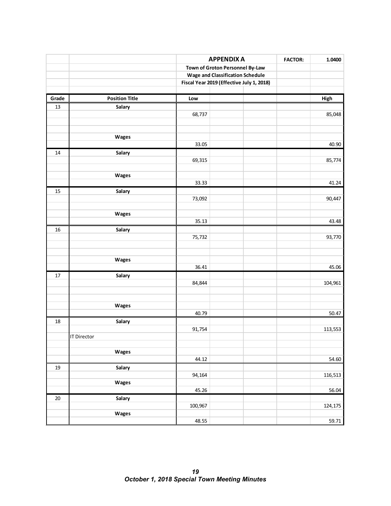|       |                       | <b>APPENDIX A</b>               |                                           |        |         |  |
|-------|-----------------------|---------------------------------|-------------------------------------------|--------|---------|--|
|       |                       | Town of Groton Personnel By-Law | <b>FACTOR:</b>                            | 1.0400 |         |  |
|       |                       |                                 | <b>Wage and Classification Schedule</b>   |        |         |  |
|       |                       |                                 | Fiscal Year 2019 (Effective July 1, 2018) |        |         |  |
|       |                       |                                 |                                           |        |         |  |
| Grade | <b>Position Title</b> | Low                             |                                           |        | High    |  |
| 13    | Salary                |                                 |                                           |        |         |  |
|       |                       | 68,737                          |                                           |        | 85,048  |  |
|       |                       |                                 |                                           |        |         |  |
|       |                       |                                 |                                           |        |         |  |
|       | Wages                 | 33.05                           |                                           |        | 40.90   |  |
|       |                       |                                 |                                           |        |         |  |
| 14    | Salary                | 69,315                          |                                           |        | 85,774  |  |
|       |                       |                                 |                                           |        |         |  |
|       | Wages                 |                                 |                                           |        |         |  |
|       |                       | 33.33                           |                                           |        | 41.24   |  |
| 15    | Salary                |                                 |                                           |        |         |  |
|       |                       | 73,092                          |                                           |        | 90,447  |  |
|       |                       |                                 |                                           |        |         |  |
|       | Wages                 |                                 |                                           |        |         |  |
|       |                       | 35.13                           |                                           |        | 43.48   |  |
| 16    | Salary                |                                 |                                           |        |         |  |
|       |                       | 75,732                          |                                           |        | 93,770  |  |
|       |                       |                                 |                                           |        |         |  |
|       |                       |                                 |                                           |        |         |  |
|       | Wages                 |                                 |                                           |        |         |  |
|       |                       | 36.41                           |                                           |        | 45.06   |  |
| 17    | Salary                | 84,844                          |                                           |        | 104,961 |  |
|       |                       |                                 |                                           |        |         |  |
|       |                       |                                 |                                           |        |         |  |
|       | Wages                 |                                 |                                           |        |         |  |
|       |                       | 40.79                           |                                           |        | 50.47   |  |
| 18    | Salary                |                                 |                                           |        |         |  |
|       |                       | 91,754                          |                                           |        | 113,553 |  |
|       | <b>IT Director</b>    |                                 |                                           |        |         |  |
|       |                       |                                 |                                           |        |         |  |
|       | Wages                 |                                 |                                           |        |         |  |
|       |                       | 44.12                           |                                           |        | 54.60   |  |
| 19    | Salary                |                                 |                                           |        |         |  |
|       |                       | 94,164                          |                                           |        | 116,513 |  |
|       | Wages                 |                                 |                                           |        |         |  |
|       |                       | 45.26                           |                                           |        | 56.04   |  |
| 20    | Salary                |                                 |                                           |        |         |  |
|       |                       | 100,967                         |                                           |        | 124,175 |  |
|       | Wages                 | 48.55                           |                                           |        |         |  |
|       |                       |                                 |                                           |        | 59.71   |  |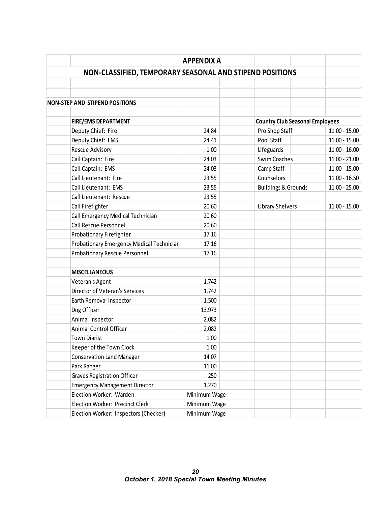|                                                          | <b>APPENDIX A</b> |                                        |                 |
|----------------------------------------------------------|-------------------|----------------------------------------|-----------------|
| NON-CLASSIFIED, TEMPORARY SEASONAL AND STIPEND POSITIONS |                   |                                        |                 |
|                                                          |                   |                                        |                 |
|                                                          |                   |                                        |                 |
| <b>NON-STEP AND STIPEND POSITIONS</b>                    |                   |                                        |                 |
|                                                          |                   |                                        |                 |
| <b>FIRE/EMS DEPARTMENT</b>                               |                   | <b>Country Club Seasonal Employees</b> |                 |
| Deputy Chief: Fire                                       | 24.84             | Pro Shop Staff                         | $11.00 - 15.00$ |
| Deputy Chief: EMS                                        | 24.41             | Pool Staff                             | $11.00 - 15.00$ |
| <b>Rescue Advisory</b>                                   | 1.00              | Lifeguards                             | $11.00 - 16.00$ |
| Call Captain: Fire                                       | 24.03             | Swim Coaches                           | $11.00 - 21.00$ |
| Call Captain: EMS                                        | 24.03             | Camp Staff                             | $11.00 - 15.00$ |
| Call Lieutenant: Fire                                    | 23.55             | Counselors                             | $11.00 - 16.50$ |
| Call Lieutenant: EMS                                     | 23.55             | <b>Buildings &amp; Grounds</b>         | $11.00 - 25.00$ |
| Call Lieutenant: Rescue                                  | 23.55             |                                        |                 |
| Call Firefighter                                         | 20.60             | Library Shelvers                       | $11.00 - 15.00$ |
| Call Emergency Medical Technician                        | 20.60             |                                        |                 |
| Call Rescue Personnel                                    | 20.60             |                                        |                 |
| Probationary Firefighter                                 | 17.16             |                                        |                 |
| Probationary Emergency Medical Technician                | 17.16             |                                        |                 |
| <b>Probationary Rescue Personnel</b>                     | 17.16             |                                        |                 |
|                                                          |                   |                                        |                 |
| <b>MISCELLANEOUS</b>                                     |                   |                                        |                 |
| Veteran's Agent                                          | 1,742             |                                        |                 |
| Director of Veteran's Services                           | 1,742             |                                        |                 |
| Earth Removal Inspector                                  | 1,500             |                                        |                 |
| Dog Officer                                              | 13,973            |                                        |                 |
| Animal Inspector                                         | 2,082             |                                        |                 |
| Animal Control Officer                                   | 2,082             |                                        |                 |
| <b>Town Diarist</b>                                      | 1.00              |                                        |                 |
| Keeper of the Town Clock                                 | 1.00              |                                        |                 |
| <b>Conservation Land Manager</b>                         | 14.07             |                                        |                 |
| Park Ranger                                              | 11.00             |                                        |                 |
| <b>Graves Registration Officer</b>                       | 250               |                                        |                 |
| <b>Emergency Management Director</b>                     | 1,270             |                                        |                 |
| Election Worker: Warden                                  | Minimum Wage      |                                        |                 |
| Election Worker: Precinct Clerk                          | Minimum Wage      |                                        |                 |
| Election Worker: Inspectors (Checker)                    | Minimum Wage      |                                        |                 |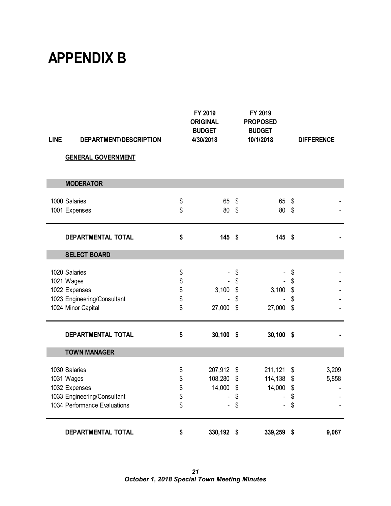## **APPENDIX B**

| <b>LINE</b> | DEPARTMENT/DESCRIPTION       |          | FY 2019<br><b>ORIGINAL</b><br><b>BUDGET</b><br>4/30/2018 |                   | FY 2019<br><b>PROPOSED</b><br><b>BUDGET</b><br>10/1/2018 |               | <b>DIFFERENCE</b> |
|-------------|------------------------------|----------|----------------------------------------------------------|-------------------|----------------------------------------------------------|---------------|-------------------|
|             | <b>GENERAL GOVERNMENT</b>    |          |                                                          |                   |                                                          |               |                   |
|             | <b>MODERATOR</b>             |          |                                                          |                   |                                                          |               |                   |
|             | 1000 Salaries                |          | 65                                                       | \$                | 65                                                       | \$            |                   |
|             | 1001 Expenses                | \$<br>\$ | 80                                                       | \$                | 80                                                       | \$            |                   |
|             | DEPARTMENTAL TOTAL           | \$       | $145$ \$                                                 |                   | 145 \$                                                   |               |                   |
|             | <b>SELECT BOARD</b>          |          |                                                          |                   |                                                          |               |                   |
|             | 1020 Salaries                | \$       |                                                          | \$                |                                                          | \$            |                   |
|             | 1021 Wages                   | \$       |                                                          | \$                |                                                          | \$            |                   |
|             | 1022 Expenses                | \$<br>\$ | 3,100                                                    | \$                | 3,100                                                    | \$            |                   |
|             | 1023 Engineering/Consultant  |          |                                                          | \$                |                                                          | \$            |                   |
|             | 1024 Minor Capital           | \$       | 27,000                                                   | \$                | 27,000                                                   | \$            |                   |
|             | <b>DEPARTMENTAL TOTAL</b>    | \$       | $30,100$ \$                                              |                   | $30,100$ \$                                              |               |                   |
|             | <b>TOWN MANAGER</b>          |          |                                                          |                   |                                                          |               |                   |
|             | 1030 Salaries                | \$       | 207,912 \$                                               |                   | 211,121                                                  | $\frac{1}{2}$ | 3,209             |
|             | 1031 Wages                   | \$       | 108,280                                                  | \$                | 114,138                                                  | \$            | 5,858             |
|             | 1032 Expenses                | \$       | 14,000                                                   | $\boldsymbol{\$}$ | 14,000                                                   | \$            |                   |
|             | 1033 Engineering/Consultant  | \$       |                                                          | \$                |                                                          | \$            |                   |
|             | 1034 Performance Evaluations | \$       |                                                          | \$                |                                                          | \$            |                   |
|             | DEPARTMENTAL TOTAL           | \$       | 330,192                                                  | \$                | 339,259                                                  | \$            | 9,067             |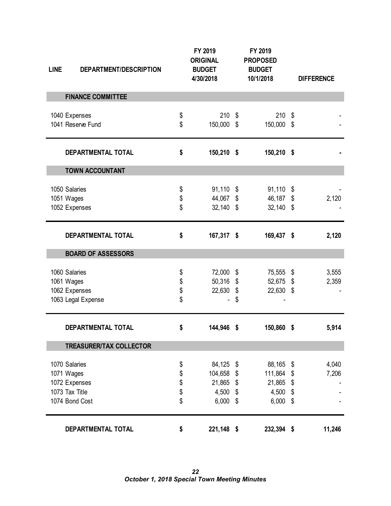| <b>LINE</b> | DEPARTMENT/DESCRIPTION                                             |                            | FY 2019<br><b>ORIGINAL</b><br><b>BUDGET</b><br>4/30/2018 |                        | FY 2019<br><b>PROPOSED</b><br><b>BUDGET</b><br>10/1/2018 |                            | <b>DIFFERENCE</b> |
|-------------|--------------------------------------------------------------------|----------------------------|----------------------------------------------------------|------------------------|----------------------------------------------------------|----------------------------|-------------------|
|             | <b>FINANCE COMMITTEE</b>                                           |                            |                                                          |                        |                                                          |                            |                   |
|             | 1040 Expenses<br>1041 Reserve Fund                                 | \$<br>\$                   | 210<br>150,000                                           | \$<br>\$               | 210<br>150,000                                           | \$<br>\$                   |                   |
|             | DEPARTMENTAL TOTAL                                                 | \$                         | 150,210 \$                                               |                        | 150,210 \$                                               |                            |                   |
|             | <b>TOWN ACCOUNTANT</b>                                             |                            |                                                          |                        |                                                          |                            |                   |
|             | 1050 Salaries<br>1051 Wages<br>1052 Expenses                       | \$<br>\$<br>\$             | 91,110<br>44,067<br>$32,140$ \$                          | \$<br>\$               | 91,110<br>46,187<br>$32,140$ \$                          | \$<br>\$                   | 2,120             |
|             | DEPARTMENTAL TOTAL                                                 | \$                         | 167,317 \$                                               |                        | 169,437 \$                                               |                            | 2,120             |
|             | <b>BOARD OF ASSESSORS</b>                                          |                            |                                                          |                        |                                                          |                            |                   |
| 1061 Wages  | 1060 Salaries<br>1062 Expenses<br>1063 Legal Expense               | \$<br>\$<br>\$<br>\$       | 72,000<br>50,316<br>22,630                               | \$<br>\$<br>\$<br>\$   | 75,555<br>52,675<br>22,630                               | \$<br>\$<br>\$             | 3,555<br>2,359    |
|             | DEPARTMENTAL TOTAL                                                 | \$                         | 144,946                                                  | \$                     | 150,860                                                  | \$                         | 5,914             |
|             | <b>TREASURER/TAX COLLECTOR</b>                                     |                            |                                                          |                        |                                                          |                            |                   |
| 1071 Wages  | 1070 Salaries<br>1072 Expenses<br>1073 Tax Title<br>1074 Bond Cost | \$<br>\$<br>\$<br>\$<br>\$ | 84,125<br>104,658<br>21,865<br>4,500 \$<br>6,000         | - \$<br>\$<br>\$<br>\$ | 88,165<br>111,864<br>21,865<br>4,500<br>6,000            | \$<br>\$<br>\$<br>\$<br>\$ | 4,040<br>7,206    |
|             | DEPARTMENTAL TOTAL                                                 | \$                         | 221,148 \$                                               |                        | 232,394 \$                                               |                            | 11,246            |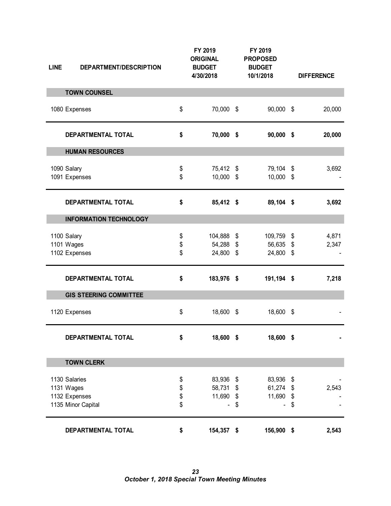| <b>LINE</b> | DEPARTMENT/DESCRIPTION                                             |                      | FY 2019<br><b>ORIGINAL</b><br><b>BUDGET</b><br>4/30/2018 |                                                   | FY 2019<br><b>PROPOSED</b><br><b>BUDGET</b><br>10/1/2018 |                       | <b>DIFFERENCE</b> |
|-------------|--------------------------------------------------------------------|----------------------|----------------------------------------------------------|---------------------------------------------------|----------------------------------------------------------|-----------------------|-------------------|
|             | <b>TOWN COUNSEL</b>                                                |                      |                                                          |                                                   |                                                          |                       |                   |
|             | 1080 Expenses                                                      | \$                   | 70,000                                                   | \$                                                | 90,000                                                   | - \$                  | 20,000            |
|             | DEPARTMENTAL TOTAL                                                 | \$                   | 70,000 \$                                                |                                                   | $90,000$ \$                                              |                       | 20,000            |
|             | <b>HUMAN RESOURCES</b>                                             |                      |                                                          |                                                   |                                                          |                       |                   |
|             | 1090 Salary<br>1091 Expenses                                       | \$<br>\$             | 75,412 \$<br>10,000 \$                                   |                                                   | 79,104 \$<br>10,000                                      | \$                    | 3,692             |
|             | DEPARTMENTAL TOTAL                                                 | \$                   | 85,412 \$                                                |                                                   | 89,104 \$                                                |                       | 3,692             |
|             | <b>INFORMATION TECHNOLOGY</b>                                      |                      |                                                          |                                                   |                                                          |                       |                   |
|             | 1100 Salary<br>1101 Wages<br>1102 Expenses                         | \$<br>\$<br>\$       | 104,888<br>54,288<br>24,800                              | \$<br>$\frac{1}{2}$<br>$\boldsymbol{\mathsf{\$}}$ | 109,759<br>56,635<br>24,800                              | \$<br>\$<br>\$        | 4,871<br>2,347    |
|             | DEPARTMENTAL TOTAL                                                 | \$                   | 183,976 \$                                               |                                                   | 191,194 \$                                               |                       | 7,218             |
|             | <b>GIS STEERING COMMITTEE</b>                                      |                      |                                                          |                                                   |                                                          |                       |                   |
|             | 1120 Expenses                                                      | \$                   | 18,600 \$                                                |                                                   | 18,600 \$                                                |                       |                   |
|             | DEPARTMENTAL TOTAL                                                 | \$                   | 18,600                                                   | - \$                                              | 18,600 \$                                                |                       |                   |
|             | <b>TOWN CLERK</b>                                                  |                      |                                                          |                                                   |                                                          |                       |                   |
|             | 1130 Salaries<br>1131 Wages<br>1132 Expenses<br>1135 Minor Capital | \$<br>\$<br>\$<br>\$ | 83,936<br>58,731<br>11,690                               | - \$<br>\$<br>\$<br>\$                            | 83,936<br>61,274<br>11,690                               | -\$<br>\$<br>\$<br>\$ | 2,543             |
|             | DEPARTMENTAL TOTAL                                                 | \$                   | 154,357                                                  | \$                                                | 156,900                                                  | \$                    | 2,543             |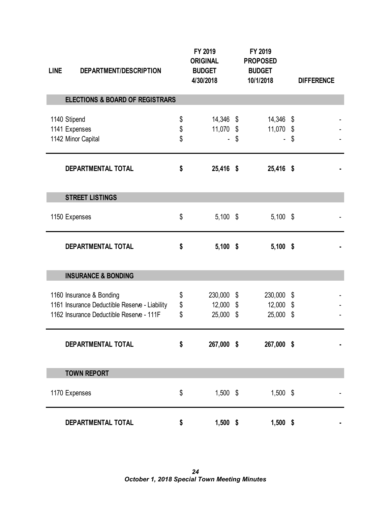| <b>LINE</b>  | DEPARTMENT/DESCRIPTION                                                                                                |                | FY 2019<br><b>ORIGINAL</b><br><b>BUDGET</b><br>4/30/2018 | FY 2019<br><b>PROPOSED</b><br><b>BUDGET</b><br>10/1/2018 |          | <b>DIFFERENCE</b> |
|--------------|-----------------------------------------------------------------------------------------------------------------------|----------------|----------------------------------------------------------|----------------------------------------------------------|----------|-------------------|
|              | <b>ELECTIONS &amp; BOARD OF REGISTRARS</b>                                                                            |                |                                                          |                                                          |          |                   |
| 1140 Stipend | 1141 Expenses<br>1142 Minor Capital                                                                                   | \$<br>\$<br>\$ | 14,346 \$<br>11,070 \$                                   | \$<br>14,346 \$<br>11,070                                | \$<br>\$ |                   |
|              | DEPARTMENTAL TOTAL                                                                                                    | \$             | 25,416 \$                                                | 25,416 \$                                                |          |                   |
|              | <b>STREET LISTINGS</b>                                                                                                |                |                                                          |                                                          |          |                   |
|              | 1150 Expenses                                                                                                         | \$             | $5,100$ \$                                               | $5,100$ \$                                               |          |                   |
|              | DEPARTMENTAL TOTAL                                                                                                    | \$             | $5,100$ \$                                               | $5,100$ \$                                               |          |                   |
|              | <b>INSURANCE &amp; BONDING</b>                                                                                        |                |                                                          |                                                          |          |                   |
|              | 1160 Insurance & Bonding<br>1161 Insurance Deductible Reserve - Liability<br>1162 Insurance Deductible Reserve - 111F | \$<br>\$<br>\$ | 230,000<br>12,000 \$<br>25,000 \$                        | \$<br>230,000<br>12,000<br>25,000 \$                     | \$<br>\$ |                   |
|              | DEPARTMENTAL TOTAL                                                                                                    | \$             | 267,000 \$                                               | 267,000 \$                                               |          |                   |
|              | <b>TOWN REPORT</b>                                                                                                    |                |                                                          |                                                          |          |                   |
|              | 1170 Expenses                                                                                                         | \$             | $1,500$ \$                                               | $1,500$ \$                                               |          |                   |
|              | DEPARTMENTAL TOTAL                                                                                                    | \$             | $1,500$ \$                                               | $1,500$ \$                                               |          |                   |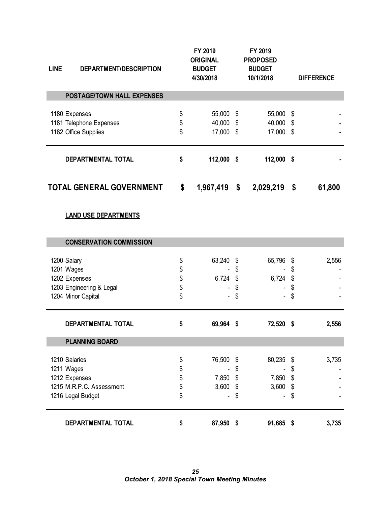| <b>LINE</b> | DEPARTMENT/DESCRIPTION                                                                        |                            | FY 2019<br><b>ORIGINAL</b><br><b>BUDGET</b><br>4/30/2018 |                            | FY 2019<br><b>PROPOSED</b><br><b>BUDGET</b><br>10/1/2018 |                                 | <b>DIFFERENCE</b> |
|-------------|-----------------------------------------------------------------------------------------------|----------------------------|----------------------------------------------------------|----------------------------|----------------------------------------------------------|---------------------------------|-------------------|
|             | <b>POSTAGE/TOWN HALL EXPENSES</b>                                                             |                            |                                                          |                            |                                                          |                                 |                   |
|             | 1180 Expenses<br>1181 Telephone Expenses<br>1182 Office Supplies                              | \$<br>\$<br>\$             | 55,000 \$<br>40,000 \$<br>17,000 \$                      |                            | 55,000<br>40,000<br>17,000 \$                            | \$<br>$\boldsymbol{\mathsf{S}}$ |                   |
|             | DEPARTMENTAL TOTAL                                                                            | \$                         | 112,000 \$                                               |                            | 112,000 \$                                               |                                 |                   |
|             | <b>TOTAL GENERAL GOVERNMENT</b>                                                               | \$                         | 1,967,419                                                | \$                         | 2,029,219                                                | \$                              | 61,800            |
|             | <b>LAND USE DEPARTMENTS</b>                                                                   |                            |                                                          |                            |                                                          |                                 |                   |
|             | <b>CONSERVATION COMMISSION</b>                                                                |                            |                                                          |                            |                                                          |                                 |                   |
|             | 1200 Salary<br>1201 Wages<br>1202 Expenses<br>1203 Engineering & Legal<br>1204 Minor Capital  | \$<br>\$<br>\$<br>\$<br>\$ | 63,240<br>6,724                                          | \$<br>\$<br>\$<br>\$<br>\$ | 65,796<br>6,724                                          | \$<br>\$<br>\$<br>\$<br>\$      | 2,556             |
|             | <b>DEPARTMENTAL TOTAL</b>                                                                     | \$                         | 69,964 \$                                                |                            | 72,520 \$                                                |                                 | 2,556             |
|             | <b>PLANNING BOARD</b>                                                                         |                            |                                                          |                            |                                                          |                                 |                   |
|             | 1210 Salaries<br>1211 Wages<br>1212 Expenses<br>1215 M.R.P.C. Assessment<br>1216 Legal Budget | \$<br>\$<br>\$<br>\$<br>\$ | 76,500<br>7,850<br>3,600                                 | \$<br>\$<br>\$<br>\$<br>\$ | 80,235<br>7,850<br>3,600                                 | \$<br>\$<br>\$<br>\$<br>\$      | 3,735             |
|             | DEPARTMENTAL TOTAL                                                                            | \$                         | 87,950 \$                                                |                            | 91,685 \$                                                |                                 | 3,735             |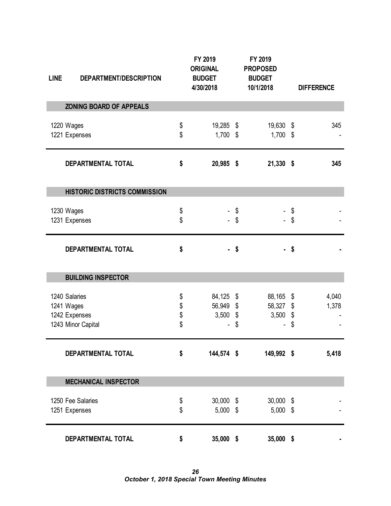| <b>LINE</b> | DEPARTMENT/DESCRIPTION               | FY 2019<br><b>ORIGINAL</b><br><b>BUDGET</b><br>4/30/2018 | FY 2019<br><b>PROPOSED</b><br><b>BUDGET</b><br>10/1/2018 | <b>DIFFERENCE</b> |
|-------------|--------------------------------------|----------------------------------------------------------|----------------------------------------------------------|-------------------|
|             | <b>ZONING BOARD OF APPEALS</b>       |                                                          |                                                          |                   |
|             | 1220 Wages                           | \$<br>19,285 \$                                          | 19,630 \$                                                | 345               |
|             | 1221 Expenses                        | \$<br>$1,700$ \$                                         | $1,700$ \$                                               |                   |
|             | DEPARTMENTAL TOTAL                   | \$<br>20,985 \$                                          | 21,330 \$                                                | 345               |
|             | <b>HISTORIC DISTRICTS COMMISSION</b> |                                                          |                                                          |                   |
|             | 1230 Wages                           | \$                                                       | \$                                                       | \$                |
|             | 1231 Expenses                        | \$                                                       | \$                                                       | \$                |
|             | DEPARTMENTAL TOTAL                   | \$                                                       | \$                                                       | \$                |
|             | <b>BUILDING INSPECTOR</b>            |                                                          |                                                          |                   |
|             | 1240 Salaries                        | \$<br>84,125 \$                                          | 88,165 \$                                                | 4,040             |
|             | 1241 Wages                           | \$<br>56,949 \$                                          | 58,327                                                   | \$<br>1,378       |
|             | 1242 Expenses                        | \$<br>$3,500$ \$                                         | 3,500                                                    | \$                |
|             | 1243 Minor Capital                   | \$                                                       | \$                                                       | \$                |
|             | <b>DEPARTMENTAL TOTAL</b>            | \$<br>144,574 \$                                         | 149,992 \$                                               | 5,418             |
|             | <b>MECHANICAL INSPECTOR</b>          |                                                          |                                                          |                   |
|             | 1250 Fee Salaries                    | \$<br>$30,000$ \$                                        | 30,000 \$                                                |                   |
|             | 1251 Expenses                        | \$<br>$5,000$ \$                                         | $5,000$ \$                                               |                   |
|             | DEPARTMENTAL TOTAL                   | \$<br>35,000 \$                                          | 35,000 \$                                                |                   |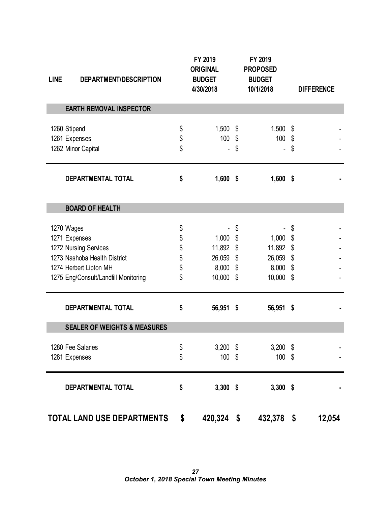| <b>LINE</b>  | DEPARTMENT/DESCRIPTION                                                                                                                   |                                  | FY 2019<br><b>ORIGINAL</b><br><b>BUDGET</b><br>4/30/2018     |               | FY 2019<br><b>PROPOSED</b><br><b>BUDGET</b><br>10/1/2018 |                            | <b>DIFFERENCE</b> |
|--------------|------------------------------------------------------------------------------------------------------------------------------------------|----------------------------------|--------------------------------------------------------------|---------------|----------------------------------------------------------|----------------------------|-------------------|
|              | <b>EARTH REMOVAL INSPECTOR</b>                                                                                                           |                                  |                                                              |               |                                                          |                            |                   |
| 1260 Stipend | 1261 Expenses<br>1262 Minor Capital                                                                                                      | \$<br>\$<br>\$                   | $1,500$ \$<br>100 \$                                         | \$            | 1,500<br>100                                             | \$<br>\$<br>\$             |                   |
|              | DEPARTMENTAL TOTAL                                                                                                                       | \$                               | $1,600$ \$                                                   |               | $1,600$ \$                                               |                            |                   |
|              | <b>BOARD OF HEALTH</b>                                                                                                                   |                                  |                                                              |               |                                                          |                            |                   |
| 1270 Wages   | 1271 Expenses<br>1272 Nursing Services<br>1273 Nashoba Health District<br>1274 Herbert Lipton MH<br>1275 Eng/Consult/Landfill Monitoring | \$<br>\$<br>\$<br>\$<br>\$<br>\$ | $1,000$ \$<br>11,892 \$<br>26,059 \$<br>$8,000$ \$<br>10,000 | \$<br>- \$    | 1,000<br>11,892<br>26,059 \$<br>8,000<br>10,000          | \$<br>\$<br>\$<br>\$<br>\$ |                   |
|              | DEPARTMENTAL TOTAL                                                                                                                       | \$                               | 56,951 \$                                                    |               | 56,951 \$                                                |                            |                   |
|              | <b>SEALER OF WEIGHTS &amp; MEASURES</b>                                                                                                  |                                  |                                                              |               |                                                          |                            |                   |
|              | 1280 Fee Salaries<br>1281 Expenses                                                                                                       | \$<br>\$                         | $3,200$ \$<br>$100$ \$                                       |               | 3,200<br>$100$ \$                                        | \$                         |                   |
|              | DEPARTMENTAL TOTAL                                                                                                                       | \$                               | $3,300$ \$                                                   |               | $3,300$ \$                                               |                            |                   |
|              | TOTAL LAND USE DEPARTMENTS                                                                                                               | \$                               | 420,324                                                      | $\sqrt[6]{3}$ | 432,378                                                  | $\sqrt[6]{3}$              | 12,054            |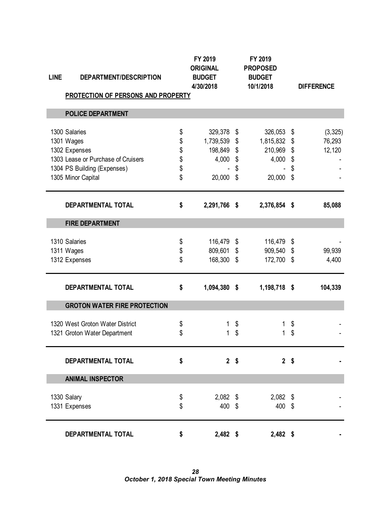| <b>LINE</b> | DEPARTMENT/DESCRIPTION                    | FY 2019<br><b>ORIGINAL</b><br><b>BUDGET</b><br>4/30/2018 | FY 2019<br><b>PROPOSED</b><br><b>BUDGET</b><br>10/1/2018 |                | <b>DIFFERENCE</b> |
|-------------|-------------------------------------------|----------------------------------------------------------|----------------------------------------------------------|----------------|-------------------|
|             | <b>PROTECTION OF PERSONS AND PROPERTY</b> |                                                          |                                                          |                |                   |
|             | <b>POLICE DEPARTMENT</b>                  |                                                          |                                                          |                |                   |
|             | 1300 Salaries                             | \$<br>329,378                                            | \$<br>326,053                                            | \$             | (3, 325)          |
|             | 1301 Wages                                | \$<br>1,739,539                                          | \$<br>1,815,832                                          | \$             | 76,293            |
|             | 1302 Expenses                             | \$<br>198,849                                            | \$<br>210,969                                            | \$             | 12,120            |
|             | 1303 Lease or Purchase of Cruisers        | \$<br>4,000                                              | \$<br>4,000                                              | \$             |                   |
|             | 1304 PS Building (Expenses)               | \$                                                       | \$                                                       | \$             |                   |
|             | 1305 Minor Capital                        | \$<br>20,000                                             | \$<br>20,000                                             | \$             |                   |
|             | <b>DEPARTMENTAL TOTAL</b>                 | \$<br>2,291,766 \$                                       | 2,376,854 \$                                             |                | 85,088            |
|             | <b>FIRE DEPARTMENT</b>                    |                                                          |                                                          |                |                   |
|             | 1310 Salaries                             | \$<br>116,479                                            | \$<br>116,479                                            | \$             |                   |
|             | 1311 Wages                                | \$<br>809,601                                            | \$<br>909,540                                            | \$             | 99,939            |
|             | 1312 Expenses                             | \$<br>168,300                                            | \$<br>172,700                                            | \$             | 4,400             |
|             | DEPARTMENTAL TOTAL                        | \$<br>1,094,380 \$                                       | 1,198,718 \$                                             |                | 104,339           |
|             | <b>GROTON WATER FIRE PROTECTION</b>       |                                                          |                                                          |                |                   |
|             | 1320 West Groton Water District           | \$<br>1                                                  | \$<br>1                                                  | \$             |                   |
|             | 1321 Groton Water Department              | \$<br>1                                                  | \$<br>1                                                  | \$             |                   |
|             | DEPARTMENTAL TOTAL                        | \$<br>2 <sup>5</sup>                                     |                                                          | 2 <sup>5</sup> |                   |
|             | <b>ANIMAL INSPECTOR</b>                   |                                                          |                                                          |                |                   |
|             | 1330 Salary                               | \$<br>$2,082$ \$                                         | $2,082$ \$                                               |                |                   |
|             | 1331 Expenses                             | \$<br>400 \$                                             | 400 \$                                                   |                |                   |
|             | DEPARTMENTAL TOTAL                        | \$<br>$2,482$ \$                                         | $2,482$ \$                                               |                |                   |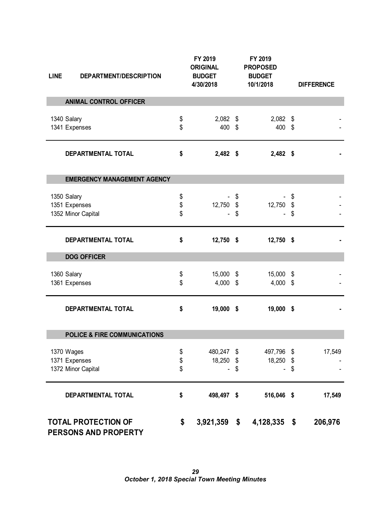| <b>LINE</b> | DEPARTMENT/DESCRIPTION                             |                | FY 2019<br><b>ORIGINAL</b><br><b>BUDGET</b><br>4/30/2018 |                                       | FY 2019<br><b>PROPOSED</b><br><b>BUDGET</b><br>10/1/2018 |                | <b>DIFFERENCE</b> |
|-------------|----------------------------------------------------|----------------|----------------------------------------------------------|---------------------------------------|----------------------------------------------------------|----------------|-------------------|
|             | <b>ANIMAL CONTROL OFFICER</b>                      |                |                                                          |                                       |                                                          |                |                   |
| 1340 Salary | 1341 Expenses                                      | \$<br>\$       | $2,082$ \$<br>400 \$                                     |                                       | $2,082$ \$<br>400 \$                                     |                |                   |
|             | DEPARTMENTAL TOTAL                                 | \$             | $2,482$ \$                                               |                                       | $2,482$ \$                                               |                |                   |
|             | <b>EMERGENCY MANAGEMENT AGENCY</b>                 |                |                                                          |                                       |                                                          |                |                   |
| 1350 Salary | 1351 Expenses<br>1352 Minor Capital                | \$<br>\$<br>\$ | 12,750                                                   | \$<br>$\boldsymbol{\mathsf{S}}$<br>\$ | 12,750                                                   | \$<br>\$<br>\$ |                   |
|             | DEPARTMENTAL TOTAL                                 | \$             | $12,750$ \$                                              |                                       | 12,750 \$                                                |                |                   |
|             | <b>DOG OFFICER</b>                                 |                |                                                          |                                       |                                                          |                |                   |
| 1360 Salary | 1361 Expenses                                      | \$<br>\$       | 15,000 \$<br>4,000 \$                                    |                                       | 15,000<br>$4,000$ \$                                     | \$             |                   |
|             | DEPARTMENTAL TOTAL                                 | \$             | 19,000 \$                                                |                                       | 19,000 \$                                                |                |                   |
|             | <b>POLICE &amp; FIRE COMMUNICATIONS</b>            |                |                                                          |                                       |                                                          |                |                   |
| 1370 Wages  | 1371 Expenses<br>1372 Minor Capital                | \$<br>\$<br>\$ | 480,247 \$<br>18,250 \$                                  | \$                                    | 497,796<br>18,250                                        | \$<br>\$<br>\$ | 17,549            |
|             | <b>DEPARTMENTAL TOTAL</b>                          | \$             | 498,497 \$                                               |                                       | 516,046 \$                                               |                | 17,549            |
|             | <b>TOTAL PROTECTION OF</b><br>PERSONS AND PROPERTY | \$             | 3,921,359                                                | \$                                    | 4,128,335                                                | \$             | 206,976           |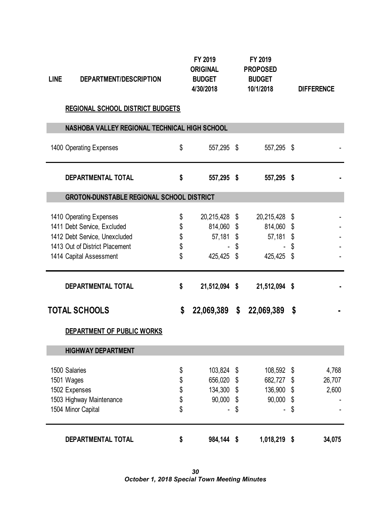| <b>LINE</b> | DEPARTMENT/DESCRIPTION                                          |          | FY 2019<br><b>ORIGINAL</b><br><b>BUDGET</b><br>4/30/2018 | FY 2019<br><b>PROPOSED</b><br><b>BUDGET</b><br>10/1/2018 | <b>DIFFERENCE</b> |
|-------------|-----------------------------------------------------------------|----------|----------------------------------------------------------|----------------------------------------------------------|-------------------|
|             | <b>REGIONAL SCHOOL DISTRICT BUDGETS</b>                         |          |                                                          |                                                          |                   |
|             | NASHOBA VALLEY REGIONAL TECHNICAL HIGH SCHOOL                   |          |                                                          |                                                          |                   |
|             | 1400 Operating Expenses                                         | \$       | 557,295 \$                                               | 557,295 \$                                               |                   |
|             | <b>DEPARTMENTAL TOTAL</b>                                       | \$       | 557,295 \$                                               | 557,295 \$                                               |                   |
|             | <b>GROTON-DUNSTABLE REGIONAL SCHOOL DISTRICT</b>                |          |                                                          |                                                          |                   |
|             | 1410 Operating Expenses<br>1411 Debt Service, Excluded          | \$<br>\$ | 20,215,428 \$<br>814,060 \$                              | 20,215,428<br>814,060 \$                                 | \$                |
|             | 1412 Debt Service, Unexcluded<br>1413 Out of District Placement | \$<br>\$ | 57,181 \$                                                | \$<br>57,181 \$                                          | \$                |
|             | 1414 Capital Assessment                                         | \$       | 425,425 \$                                               | 425,425                                                  | \$                |
|             | <b>DEPARTMENTAL TOTAL</b>                                       | \$       | 21,512,094 \$                                            | 21,512,094 \$                                            |                   |
|             | <b>TOTAL SCHOOLS</b>                                            | \$       | 22,069,389 \$                                            | 22,069,389                                               | \$                |
|             | DEPARTMENT OF PUBLIC WORKS                                      |          |                                                          |                                                          |                   |
|             | <b>HIGHWAY DEPARTMENT</b>                                       |          |                                                          |                                                          |                   |
|             | 1500 Salaries                                                   | \$       | 103,824                                                  | \$<br>108,592                                            | \$<br>4,768       |
|             | 1501 Wages                                                      | \$       | 656,020                                                  | \$<br>682,727                                            | \$<br>26,707      |
|             | 1502 Expenses                                                   | \$       | 134,300                                                  | \$<br>136,900                                            | \$<br>2,600       |
|             | 1503 Highway Maintenance                                        | \$       | 90,000 \$                                                | 90,000                                                   | \$                |
|             | 1504 Minor Capital                                              | \$       |                                                          | \$                                                       | \$                |
|             | DEPARTMENTAL TOTAL                                              | \$       | 984,144 \$                                               | 1,018,219 \$                                             | 34,075            |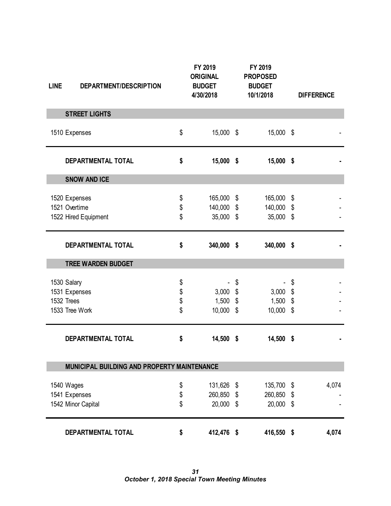| <b>LINE</b> | DEPARTMENT/DESCRIPTION                                       |                      | FY 2019<br><b>ORIGINAL</b><br><b>BUDGET</b><br>4/30/2018 | FY 2019<br><b>PROPOSED</b><br><b>BUDGET</b><br>10/1/2018 |                                       | <b>DIFFERENCE</b> |
|-------------|--------------------------------------------------------------|----------------------|----------------------------------------------------------|----------------------------------------------------------|---------------------------------------|-------------------|
|             | <b>STREET LIGHTS</b>                                         |                      |                                                          |                                                          |                                       |                   |
|             | 1510 Expenses                                                | \$                   | 15,000 \$                                                | 15,000 \$                                                |                                       |                   |
|             | DEPARTMENTAL TOTAL                                           | \$                   | $15,000$ \$                                              | 15,000 \$                                                |                                       |                   |
|             | <b>SNOW AND ICE</b>                                          |                      |                                                          |                                                          |                                       |                   |
|             | 1520 Expenses<br>1521 Overtime<br>1522 Hired Equipment       | \$<br>\$<br>\$       | 165,000 \$<br>140,000 \$<br>35,000 \$                    | 165,000<br>140,000 \$<br>35,000 \$                       | \$                                    |                   |
|             | DEPARTMENTAL TOTAL                                           | \$                   | 340,000 \$                                               | 340,000 \$                                               |                                       |                   |
|             | <b>TREE WARDEN BUDGET</b>                                    |                      |                                                          |                                                          |                                       |                   |
|             | 1530 Salary<br>1531 Expenses<br>1532 Trees<br>1533 Tree Work | \$<br>\$<br>\$<br>\$ | $3,000$ \$<br>$1,500$ \$<br>10,000 \$                    | \$<br>3,000<br>1,500<br>10,000 \$                        | \$<br>\$<br>$\boldsymbol{\mathsf{S}}$ |                   |
|             | DEPARTMENTAL TOTAL                                           | \$                   | 14,500 \$                                                | 14,500 \$                                                |                                       |                   |
|             | MUNICIPAL BUILDING AND PROPERTY MAINTENANCE                  |                      |                                                          |                                                          |                                       |                   |
|             | 1540 Wages<br>1541 Expenses<br>1542 Minor Capital            | \$<br>\$<br>\$       | 131,626 \$<br>260,850 \$<br>20,000 \$                    | 135,700 \$<br>260,850<br>20,000                          | \$<br>$\boldsymbol{\mathsf{S}}$       | 4,074             |
|             | DEPARTMENTAL TOTAL                                           | \$                   | 412,476 \$                                               | 416,550 \$                                               |                                       | 4,074             |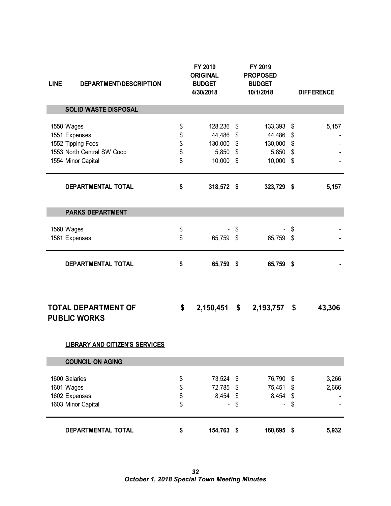| <b>LINE</b> | DEPARTMENT/DESCRIPTION                            |          | FY 2019<br><b>ORIGINAL</b><br><b>BUDGET</b><br>4/30/2018 |                           | FY 2019<br><b>PROPOSED</b><br><b>BUDGET</b><br>10/1/2018 |               | <b>DIFFERENCE</b> |
|-------------|---------------------------------------------------|----------|----------------------------------------------------------|---------------------------|----------------------------------------------------------|---------------|-------------------|
|             | <b>SOLID WASTE DISPOSAL</b>                       |          |                                                          |                           |                                                          |               |                   |
|             |                                                   |          |                                                          |                           |                                                          |               |                   |
|             | 1550 Wages                                        | \$       | 128,236 \$                                               |                           | 133,393 \$                                               |               | 5,157             |
|             | 1551 Expenses<br>1552 Tipping Fees                | \$       | 44,486<br>130,000                                        | \$<br>\$                  | 44,486<br>130,000                                        | \$<br>\$      |                   |
|             | 1553 North Central SW Coop                        | \$<br>\$ | 5,850 \$                                                 |                           | 5,850 \$                                                 |               |                   |
|             | 1554 Minor Capital                                | \$       | 10,000 \$                                                |                           | 10,000 \$                                                |               |                   |
|             | DEPARTMENTAL TOTAL                                | \$       | 318,572 \$                                               |                           | 323,729 \$                                               |               | 5,157             |
|             | <b>PARKS DEPARTMENT</b>                           |          |                                                          |                           |                                                          |               |                   |
|             |                                                   |          |                                                          |                           |                                                          |               |                   |
|             | 1560 Wages<br>1561 Expenses                       | \$<br>\$ | 65,759 \$                                                | \$                        | 65,759 \$                                                | \$            |                   |
|             |                                                   |          |                                                          |                           |                                                          |               |                   |
|             | DEPARTMENTAL TOTAL                                | \$       | 65,759 \$                                                |                           | 65,759 \$                                                |               |                   |
|             |                                                   |          |                                                          |                           |                                                          |               |                   |
|             | <b>TOTAL DEPARTMENT OF</b><br><b>PUBLIC WORKS</b> | \$       | 2,150,451                                                | $\boldsymbol{\mathsf{s}}$ | 2,193,757                                                | \$            | 43,306            |
|             | <b>LIBRARY AND CITIZEN'S SERVICES</b>             |          |                                                          |                           |                                                          |               |                   |
|             | <b>COUNCIL ON AGING</b>                           |          |                                                          |                           |                                                          |               |                   |
|             | 1600 Salaries                                     |          | 73,524                                                   | $\sqrt[6]{\frac{1}{2}}$   | 76,790                                                   | \$            | 3,266             |
|             | 1601 Wages                                        | \$<br>\$ | 72,785                                                   | \$                        | 75,451                                                   | \$            | 2,666             |
|             | 1602 Expenses                                     | \$       | 8,454                                                    | $\frac{1}{2}$             | 8,454                                                    | $\frac{1}{2}$ |                   |
|             | 1603 Minor Capital                                | \$       |                                                          | \$                        |                                                          | \$            |                   |
|             | DEPARTMENTAL TOTAL                                | \$       | 154,763 \$                                               |                           | 160,695 \$                                               |               | 5,932             |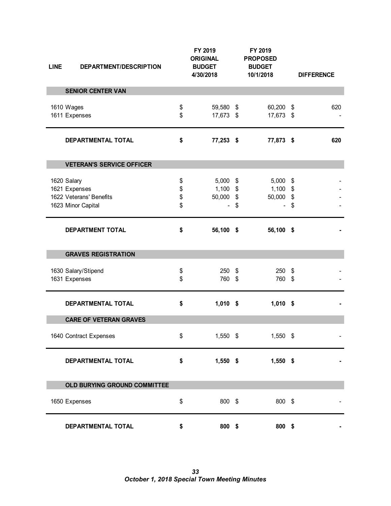| <b>LINE</b> | DEPARTMENT/DESCRIPTION                                                        |                      | FY 2019<br><b>ORIGINAL</b><br><b>BUDGET</b><br>4/30/2018 |          | FY 2019<br><b>PROPOSED</b><br><b>BUDGET</b><br>10/1/2018 |          | <b>DIFFERENCE</b> |
|-------------|-------------------------------------------------------------------------------|----------------------|----------------------------------------------------------|----------|----------------------------------------------------------|----------|-------------------|
|             | <b>SENIOR CENTER VAN</b>                                                      |                      |                                                          |          |                                                          |          |                   |
|             | 1610 Wages<br>1611 Expenses                                                   | \$<br>\$             | 59,580 \$<br>17,673 \$                                   |          | 60,200 \$<br>17,673 \$                                   |          | 620               |
|             | DEPARTMENTAL TOTAL                                                            | \$                   | 77,253 \$                                                |          | 77,873 \$                                                |          | 620               |
|             | <b>VETERAN'S SERVICE OFFICER</b>                                              |                      |                                                          |          |                                                          |          |                   |
|             | 1620 Salary<br>1621 Expenses<br>1622 Veterans' Benefits<br>1623 Minor Capital | \$<br>\$<br>\$<br>\$ | $5,000$ \$<br>$1,100$ \$<br>50,000 \$                    | \$       | $5,000$ \$<br>$1,100$ \$<br>50,000                       | \$<br>\$ |                   |
|             | <b>DEPARTMENT TOTAL</b>                                                       | \$                   | 56,100 \$                                                |          | 56,100 \$                                                |          |                   |
|             | <b>GRAVES REGISTRATION</b>                                                    |                      |                                                          |          |                                                          |          |                   |
|             | 1630 Salary/Stipend<br>1631 Expenses                                          | \$<br>\$             | 250<br>760                                               | \$<br>\$ | $250$ \$<br>760 \$                                       |          |                   |
|             | DEPARTMENTAL TOTAL                                                            | \$                   | $1,010$ \$                                               |          | $1,010$ \$                                               |          |                   |
|             | <b>CARE OF VETERAN GRAVES</b>                                                 |                      |                                                          |          |                                                          |          |                   |
|             | 1640 Contract Expenses                                                        | \$                   | $1,550$ \$                                               |          | 1,550 \$                                                 |          |                   |
|             | DEPARTMENTAL TOTAL                                                            | \$                   | $1,550$ \$                                               |          | $1,550$ \$                                               |          |                   |
|             | OLD BURYING GROUND COMMITTEE                                                  |                      |                                                          |          |                                                          |          |                   |
|             | 1650 Expenses                                                                 | \$                   | 800 \$                                                   |          | 800 \$                                                   |          |                   |
|             | DEPARTMENTAL TOTAL                                                            | \$                   | 800 \$                                                   |          | 800 \$                                                   |          |                   |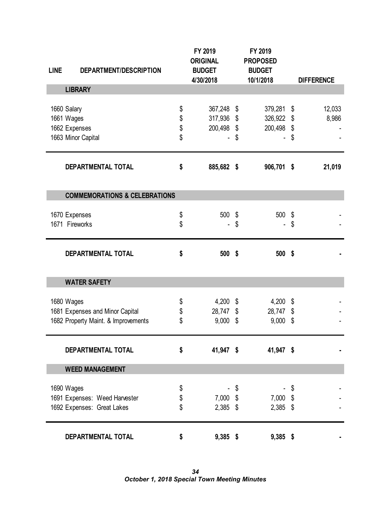| <b>LINE</b><br>DEPARTMENT/DESCRIPTION       |          | FY 2019<br><b>ORIGINAL</b><br><b>BUDGET</b> | FY 2019<br><b>PROPOSED</b><br><b>BUDGET</b> |                   |
|---------------------------------------------|----------|---------------------------------------------|---------------------------------------------|-------------------|
|                                             |          | 4/30/2018                                   | 10/1/2018                                   | <b>DIFFERENCE</b> |
| <b>LIBRARY</b>                              |          |                                             |                                             |                   |
|                                             |          |                                             |                                             |                   |
| 1660 Salary                                 | \$       | 367,248                                     | \$<br>379,281                               | \$<br>12,033      |
| 1661 Wages                                  | \$<br>\$ | 317,936 \$<br>200,498 \$                    | 326,922 \$<br>200,498 \$                    | 8,986             |
| 1662 Expenses<br>1663 Minor Capital         | \$       |                                             | \$                                          | \$                |
|                                             |          |                                             |                                             |                   |
| DEPARTMENTAL TOTAL                          | \$       | 885,682 \$                                  | 906,701 \$                                  | 21,019            |
|                                             |          |                                             |                                             |                   |
| <b>COMMEMORATIONS &amp; CELEBRATIONS</b>    |          |                                             |                                             |                   |
|                                             |          |                                             |                                             |                   |
| 1670 Expenses                               | \$       | 500                                         | \$<br>500                                   | \$                |
| 1671 Fireworks                              | \$       |                                             | \$                                          | \$                |
| DEPARTMENTAL TOTAL                          | \$       | 500 \$                                      | 500 \$                                      |                   |
|                                             |          |                                             |                                             |                   |
| <b>WATER SAFETY</b>                         |          |                                             |                                             |                   |
|                                             |          |                                             |                                             |                   |
| 1680 Wages                                  | \$       | $4,200$ \$                                  | 4,200                                       | \$                |
| 1681 Expenses and Minor Capital             | \$       | 28,747 \$                                   | 28,747 \$                                   |                   |
| 1682 Property Maint. & Improvements         | \$       | 9,000                                       | \$<br>9,000                                 | \$                |
|                                             |          |                                             |                                             |                   |
| DEPARTMENTAL TOTAL                          | \$       | 41,947 \$                                   | 41,947 \$                                   |                   |
| <b>WEED MANAGEMENT</b>                      |          |                                             |                                             |                   |
|                                             |          |                                             |                                             |                   |
| 1690 Wages<br>1691 Expenses: Weed Harvester | \$<br>\$ | 7,000 \$                                    | \$<br>7,000 \$                              | \$                |
| 1692 Expenses: Great Lakes                  | \$       | $2,385$ \$                                  | $2,385$ \$                                  |                   |
|                                             |          |                                             |                                             |                   |
| DEPARTMENTAL TOTAL                          | \$       | $9,385$ \$                                  | $9,385$ \$                                  |                   |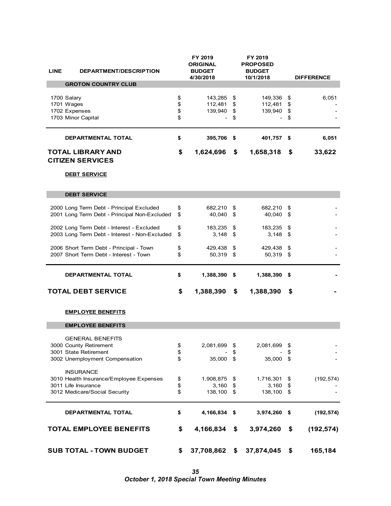| <b>LINE</b><br><b>DEPARTMENT/DESCRIPTION</b>                                               |          | FY 2019<br>ORIGINAL<br><b>BUDGET</b><br>4/30/2018 |      | FY 2019<br><b>PROPOSED</b><br><b>BUDGET</b><br>10/1/2018 |          | <b>DIFFERENCE</b> |
|--------------------------------------------------------------------------------------------|----------|---------------------------------------------------|------|----------------------------------------------------------|----------|-------------------|
| <b>GROTON COUNTRY CLUB</b>                                                                 |          |                                                   |      |                                                          |          |                   |
| 1700 Salary<br>1701 Wages                                                                  | \$<br>\$ | 143,285 \$<br>112,481                             | \$   | 149,336<br>112,481                                       | \$<br>\$ | 6,051             |
| 1702 Expenses                                                                              | \$       | 139,940                                           | \$   | 139,940                                                  | \$       |                   |
| 1703 Minor Capital                                                                         | \$       |                                                   | \$   |                                                          | \$       |                   |
| <b>DEPARTMENTAL TOTAL</b>                                                                  | \$       | 395,706 \$                                        |      | 401,757 \$                                               |          | 6,051             |
| <b>TOTAL LIBRARY AND</b><br><b>CITIZEN SERVICES</b>                                        | \$       | 1,624,696                                         | \$   | 1,658,318                                                | \$       | 33,622            |
| <b>DEBT SERVICE</b>                                                                        |          |                                                   |      |                                                          |          |                   |
| <b>DEBT SERVICE</b>                                                                        |          |                                                   |      |                                                          |          |                   |
| 2000 Long Term Debt - Principal Excluded<br>2001 Long Term Debt - Principal Non-Excluded   | \$<br>\$ | 682,210 \$<br>40,040 \$                           |      | 682,210 \$<br>40,040                                     | -\$      |                   |
| 2002 Long Term Debt - Interest - Excluded<br>2003 Long Term Debt - Interest - Non-Excluded | \$<br>\$ | 183,235 \$<br>$3,148$ \$                          |      | 183,235 \$<br>3,148                                      | \$       |                   |
| 2006 Short Term Debt - Principal - Town<br>2007 Short Term Debt - Interest - Town          | \$<br>\$ | 429,438 \$<br>50,319 \$                           |      | 429,438<br>50,319 \$                                     | \$       |                   |
| <b>DEPARTMENTAL TOTAL</b>                                                                  | \$       | 1,388,390 \$                                      |      | 1,388,390 \$                                             |          |                   |
| <b>TOTAL DEBT SERVICE</b>                                                                  | \$       | 1,388,390                                         | \$   | 1,388,390                                                | \$       |                   |
| <b>EMPLOYEE BENEFITS</b>                                                                   |          |                                                   |      |                                                          |          |                   |
| <b>EMPLOYEE BENEFITS</b>                                                                   |          |                                                   |      |                                                          |          |                   |
| <b>GENERAL BENEFITS</b>                                                                    |          |                                                   |      |                                                          |          |                   |
| 3000 County Retirement                                                                     | \$       | 2,081,699                                         | \$   | 2,081,699                                                | \$       |                   |
| 3001 State Retirement                                                                      | \$       |                                                   | \$   |                                                          | \$       |                   |
| 3002 Unemployment Compensation                                                             | \$       | 35,000                                            | \$   | 35,000                                                   | \$       |                   |
| <b>INSURANCE</b><br>3010 Health Insurance/Employee Expenses                                | \$       | 1,908,875 \$                                      |      | 1,716,301                                                | \$       | (192, 574)        |
| 3011 Life Insurance                                                                        | \$       | 3,160                                             | \$   | 3,160                                                    | \$       |                   |
| 3012 Medicare/Social Security                                                              | \$       | 138,100 \$                                        |      | 138,100                                                  | \$       |                   |
| DEPARTMENTAL TOTAL                                                                         | \$       | 4,166,834                                         | - \$ | 3,974,260                                                | -\$      | (192, 574)        |
| <b>TOTAL EMPLOYEE BENEFITS</b>                                                             | \$       | 4,166,834                                         | \$   | 3,974,260                                                | \$       | (192, 574)        |
| <b>SUB TOTAL - TOWN BUDGET</b>                                                             | \$       | 37,708,862                                        | \$   | 37,874,045                                               | \$       | 165,184           |

*35 October 1, 2018 Special Town Meeting Minutes*